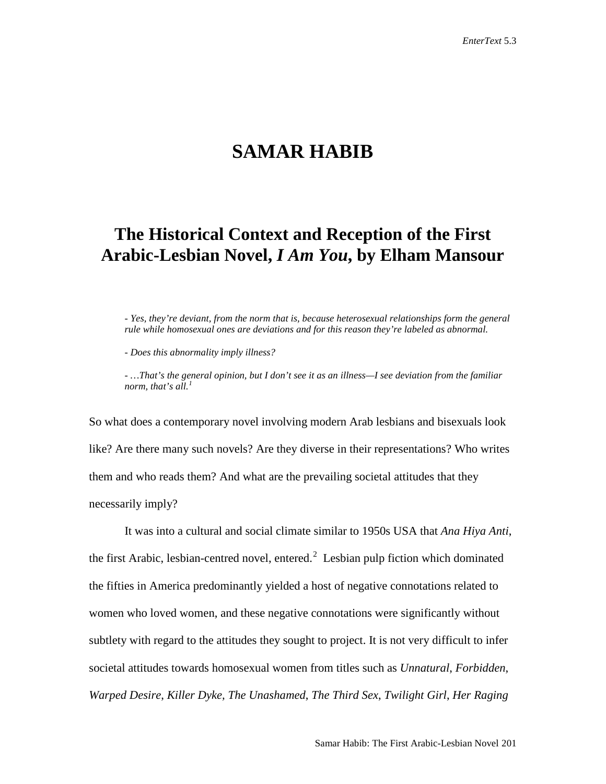# **SAMAR HABIB**

# **The Historical Context and Reception of the First Arabic-Lesbian Novel,** *I Am You***, by Elham Mansour**

*- Yes, they're deviant, from the norm that is, because heterosexual relationships form the general rule while homosexual ones are deviations and for this reason they're labeled as abnormal.*

*- Does this abnormality imply illness?*

*- …That's the general opinion, but I don't see it as an illness—I see deviation from the familiar norm, that's all.[1](#page-32-0)*

So what does a contemporary novel involving modern Arab lesbians and bisexuals look like? Are there many such novels? Are they diverse in their representations? Who writes them and who reads them? And what are the prevailing societal attitudes that they necessarily imply?

It was into a cultural and social climate similar to 1950s USA that *Ana Hiya Anti*, the first Arabic, lesbian-centred novel, entered. $2$  Lesbian pulp fiction which dominated the fifties in America predominantly yielded a host of negative connotations related to women who loved women, and these negative connotations were significantly without subtlety with regard to the attitudes they sought to project. It is not very difficult to infer societal attitudes towards homosexual women from titles such as *Unnatural*, *Forbidden*, *Warped Desire*, *Killer Dyke, The Unashamed*, *The Third Sex*, *Twilight Girl*, *Her Raging*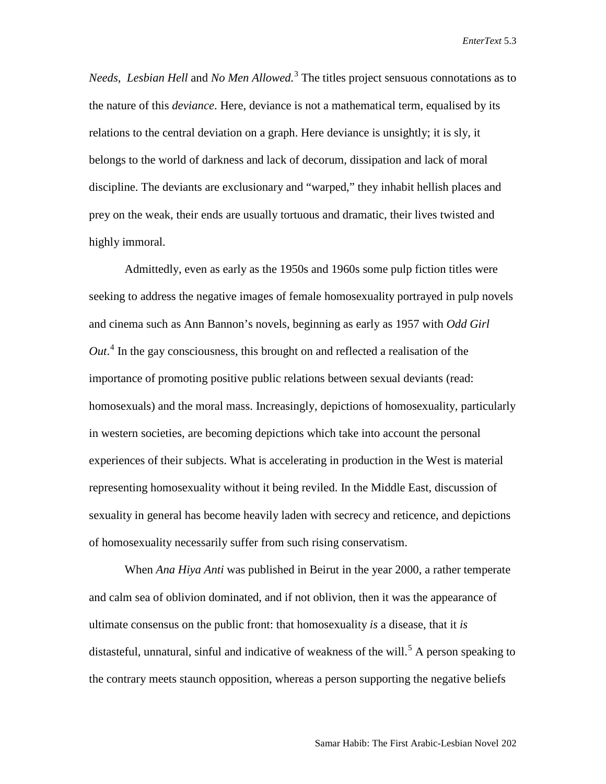*Needs, Lesbian Hell* and *No Men Allowed.*[3](#page-33-0) The titles project sensuous connotations as to the nature of this *deviance*. Here, deviance is not a mathematical term, equalised by its relations to the central deviation on a graph. Here deviance is unsightly; it is sly, it belongs to the world of darkness and lack of decorum, dissipation and lack of moral discipline. The deviants are exclusionary and "warped," they inhabit hellish places and prey on the weak, their ends are usually tortuous and dramatic, their lives twisted and highly immoral.

Admittedly, even as early as the 1950s and 1960s some pulp fiction titles were seeking to address the negative images of female homosexuality portrayed in pulp novels and cinema such as Ann Bannon's novels, beginning as early as 1957 with *Odd Girl Out*. [4](#page-33-1) In the gay consciousness, this brought on and reflected a realisation of the importance of promoting positive public relations between sexual deviants (read: homosexuals) and the moral mass. Increasingly, depictions of homosexuality, particularly in western societies, are becoming depictions which take into account the personal experiences of their subjects. What is accelerating in production in the West is material representing homosexuality without it being reviled. In the Middle East, discussion of sexuality in general has become heavily laden with secrecy and reticence, and depictions of homosexuality necessarily suffer from such rising conservatism.

When *Ana Hiya Anti* was published in Beirut in the year 2000, a rather temperate and calm sea of oblivion dominated, and if not oblivion, then it was the appearance of ultimate consensus on the public front: that homosexuality *is* a disease, that it *is* distasteful, unnatural, sinful and indicative of weakness of the will.<sup>[5](#page-33-2)</sup> A person speaking to the contrary meets staunch opposition, whereas a person supporting the negative beliefs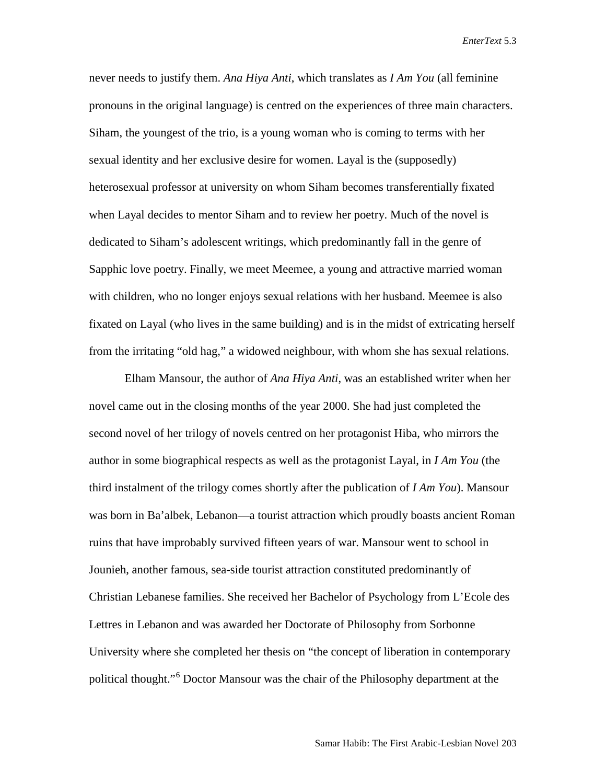never needs to justify them. *Ana Hiya Anti*, which translates as *I Am You* (all feminine pronouns in the original language) is centred on the experiences of three main characters. Siham, the youngest of the trio, is a young woman who is coming to terms with her sexual identity and her exclusive desire for women. Layal is the (supposedly) heterosexual professor at university on whom Siham becomes transferentially fixated when Layal decides to mentor Siham and to review her poetry. Much of the novel is dedicated to Siham's adolescent writings, which predominantly fall in the genre of Sapphic love poetry. Finally, we meet Meemee, a young and attractive married woman with children, who no longer enjoys sexual relations with her husband. Meemee is also fixated on Layal (who lives in the same building) and is in the midst of extricating herself from the irritating "old hag," a widowed neighbour, with whom she has sexual relations.

Elham Mansour, the author of *Ana Hiya Anti*, was an established writer when her novel came out in the closing months of the year 2000. She had just completed the second novel of her trilogy of novels centred on her protagonist Hiba, who mirrors the author in some biographical respects as well as the protagonist Layal, in *I Am You* (the third instalment of the trilogy comes shortly after the publication of *I Am You*). Mansour was born in Ba'albek, Lebanon—a tourist attraction which proudly boasts ancient Roman ruins that have improbably survived fifteen years of war. Mansour went to school in Jounieh, another famous, sea-side tourist attraction constituted predominantly of Christian Lebanese families. She received her Bachelor of Psychology from L'Ecole des Lettres in Lebanon and was awarded her Doctorate of Philosophy from Sorbonne University where she completed her thesis on "the concept of liberation in contemporary political thought."[6](#page-33-3) Doctor Mansour was the chair of the Philosophy department at the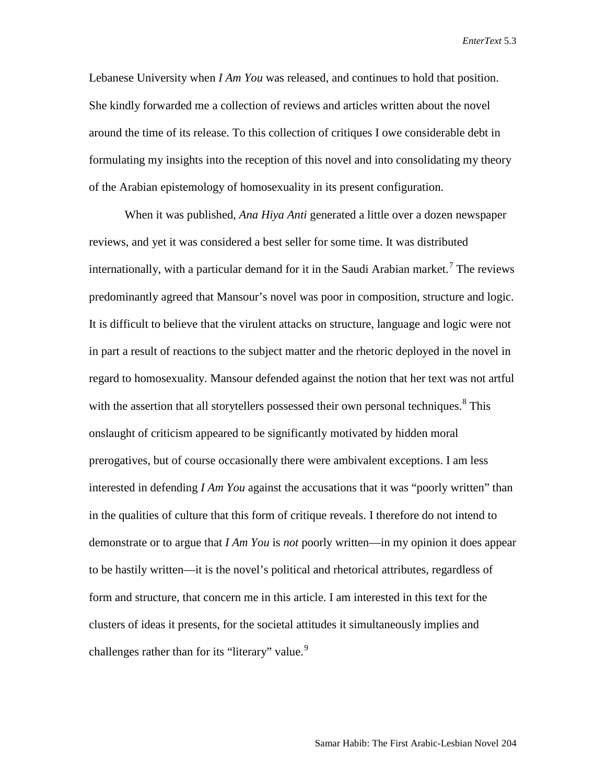Lebanese University when *I Am You* was released, and continues to hold that position. She kindly forwarded me a collection of reviews and articles written about the novel around the time of its release. To this collection of critiques I owe considerable debt in formulating my insights into the reception of this novel and into consolidating my theory of the Arabian epistemology of homosexuality in its present configuration.

When it was published, *Ana Hiya Anti* generated a little over a dozen newspaper reviews, and yet it was considered a best seller for some time. It was distributed internationally, with a particular demand for it in the Saudi Arabian market.<sup>[7](#page-34-0)</sup> The reviews predominantly agreed that Mansour's novel was poor in composition, structure and logic. It is difficult to believe that the virulent attacks on structure, language and logic were not in part a result of reactions to the subject matter and the rhetoric deployed in the novel in regard to homosexuality. Mansour defended against the notion that her text was not artful with the assertion that all storytellers possessed their own personal techniques.<sup>[8](#page-34-1)</sup> This onslaught of criticism appeared to be significantly motivated by hidden moral prerogatives, but of course occasionally there were ambivalent exceptions. I am less interested in defending *I Am You* against the accusations that it was "poorly written" than in the qualities of culture that this form of critique reveals. I therefore do not intend to demonstrate or to argue that *I Am You* is *not* poorly written—in my opinion it does appear to be hastily written—it is the novel's political and rhetorical attributes, regardless of form and structure, that concern me in this article. I am interested in this text for the clusters of ideas it presents, for the societal attitudes it simultaneously implies and challenges rather than for its "literary" value.<sup>[9](#page-34-2)</sup>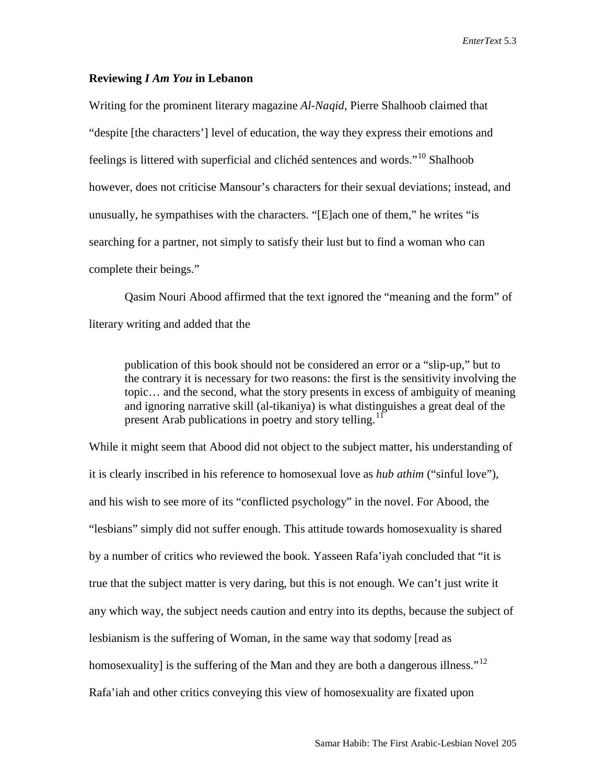## **Reviewing** *I Am You* **in Lebanon**

Writing for the prominent literary magazine *Al-Naqid*, Pierre Shalhoob claimed that "despite [the characters'] level of education, the way they express their emotions and feelings is littered with superficial and clichéd sentences and words."[10](#page-34-3) Shalhoob however, does not criticise Mansour's characters for their sexual deviations; instead, and unusually, he sympathises with the characters. "[E]ach one of them," he writes "is searching for a partner, not simply to satisfy their lust but to find a woman who can complete their beings."

Qasim Nouri Abood affirmed that the text ignored the "meaning and the form" of literary writing and added that the

publication of this book should not be considered an error or a "slip-up," but to the contrary it is necessary for two reasons: the first is the sensitivity involving the topic… and the second, what the story presents in excess of ambiguity of meaning and ignoring narrative skill (al-tikaniya) is what distinguishes a great deal of the present Arab publications in poetry and story telling.<sup>[11](#page-34-4)</sup>

While it might seem that Abood did not object to the subject matter, his understanding of it is clearly inscribed in his reference to homosexual love as *hub athim* ("sinful love"), and his wish to see more of its "conflicted psychology" in the novel. For Abood, the "lesbians" simply did not suffer enough. This attitude towards homosexuality is shared by a number of critics who reviewed the book. Yasseen Rafa'iyah concluded that "it is true that the subject matter is very daring, but this is not enough. We can't just write it any which way, the subject needs caution and entry into its depths, because the subject of lesbianism is the suffering of Woman, in the same way that sodomy [read as homosexuality] is the suffering of the Man and they are both a dangerous illness."<sup>12</sup> Rafa'iah and other critics conveying this view of homosexuality are fixated upon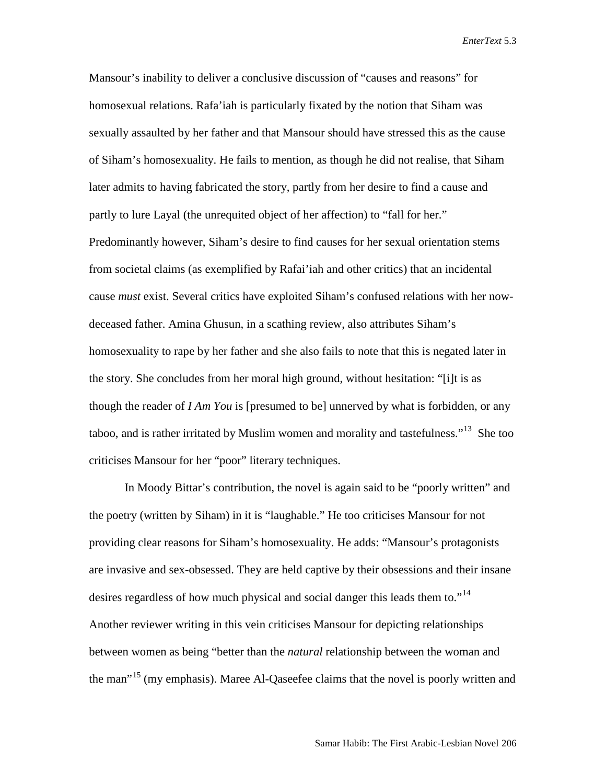Mansour's inability to deliver a conclusive discussion of "causes and reasons" for homosexual relations. Rafa'iah is particularly fixated by the notion that Siham was sexually assaulted by her father and that Mansour should have stressed this as the cause of Siham's homosexuality. He fails to mention, as though he did not realise, that Siham later admits to having fabricated the story, partly from her desire to find a cause and partly to lure Layal (the unrequited object of her affection) to "fall for her." Predominantly however, Siham's desire to find causes for her sexual orientation stems from societal claims (as exemplified by Rafai'iah and other critics) that an incidental cause *must* exist. Several critics have exploited Siham's confused relations with her nowdeceased father. Amina Ghusun, in a scathing review, also attributes Siham's homosexuality to rape by her father and she also fails to note that this is negated later in the story. She concludes from her moral high ground, without hesitation: "[i]t is as though the reader of *I Am You* is [presumed to be] unnerved by what is forbidden, or any taboo, and is rather irritated by Muslim women and morality and tastefulness."[13](#page-34-6) She too criticises Mansour for her "poor" literary techniques.

In Moody Bittar's contribution, the novel is again said to be "poorly written" and the poetry (written by Siham) in it is "laughable." He too criticises Mansour for not providing clear reasons for Siham's homosexuality. He adds: "Mansour's protagonists are invasive and sex-obsessed. They are held captive by their obsessions and their insane desires regardless of how much physical and social danger this leads them to."<sup>14</sup> Another reviewer writing in this vein criticises Mansour for depicting relationships between women as being "better than the *natural* relationship between the woman and the man<sup>"[15](#page-34-8)</sup> (my emphasis). Maree Al-Qaseefee claims that the novel is poorly written and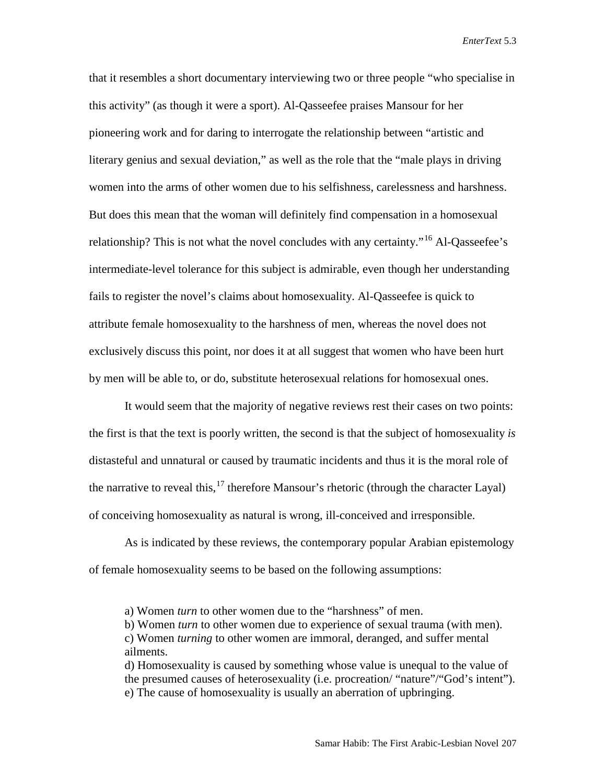that it resembles a short documentary interviewing two or three people "who specialise in this activity" (as though it were a sport). Al-Qasseefee praises Mansour for her pioneering work and for daring to interrogate the relationship between "artistic and literary genius and sexual deviation," as well as the role that the "male plays in driving women into the arms of other women due to his selfishness, carelessness and harshness. But does this mean that the woman will definitely find compensation in a homosexual relationship? This is not what the novel concludes with any certainty."<sup>[16](#page-34-9)</sup> Al-Qasseefee's intermediate-level tolerance for this subject is admirable, even though her understanding fails to register the novel's claims about homosexuality. Al-Qasseefee is quick to attribute female homosexuality to the harshness of men, whereas the novel does not exclusively discuss this point, nor does it at all suggest that women who have been hurt by men will be able to, or do, substitute heterosexual relations for homosexual ones.

It would seem that the majority of negative reviews rest their cases on two points: the first is that the text is poorly written, the second is that the subject of homosexuality *is* distasteful and unnatural or caused by traumatic incidents and thus it is the moral role of the narrative to reveal this,  $17$  therefore Mansour's rhetoric (through the character Layal) of conceiving homosexuality as natural is wrong, ill-conceived and irresponsible.

As is indicated by these reviews, the contemporary popular Arabian epistemology of female homosexuality seems to be based on the following assumptions:

a) Women *turn* to other women due to the "harshness" of men.

b) Women *turn* to other women due to experience of sexual trauma (with men). c) Women *turning* to other women are immoral, deranged, and suffer mental ailments.

d) Homosexuality is caused by something whose value is unequal to the value of the presumed causes of heterosexuality (i.e. procreation/ "nature"/"God's intent"). e) The cause of homosexuality is usually an aberration of upbringing.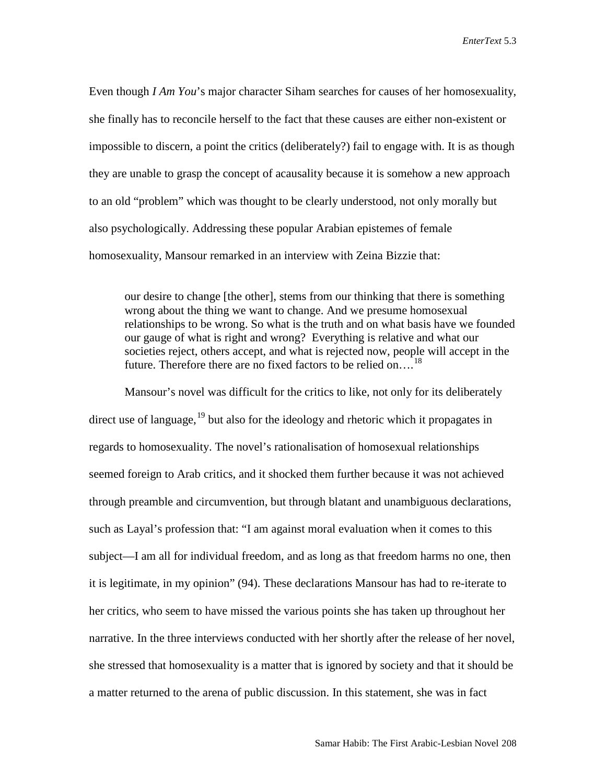Even though *I Am You*'s major character Siham searches for causes of her homosexuality, she finally has to reconcile herself to the fact that these causes are either non-existent or impossible to discern, a point the critics (deliberately?) fail to engage with. It is as though they are unable to grasp the concept of acausality because it is somehow a new approach to an old "problem" which was thought to be clearly understood, not only morally but also psychologically. Addressing these popular Arabian epistemes of female homosexuality, Mansour remarked in an interview with Zeina Bizzie that:

our desire to change [the other], stems from our thinking that there is something wrong about the thing we want to change. And we presume homosexual relationships to be wrong. So what is the truth and on what basis have we founded our gauge of what is right and wrong? Everything is relative and what our societies reject, others accept, and what is rejected now, people will accept in the future. Therefore there are no fixed factors to be relied on....<sup>[18](#page-34-11)</sup>

Mansour's novel was difficult for the critics to like, not only for its deliberately direct use of language,  $^{19}$  $^{19}$  $^{19}$  but also for the ideology and rhetoric which it propagates in regards to homosexuality. The novel's rationalisation of homosexual relationships seemed foreign to Arab critics, and it shocked them further because it was not achieved through preamble and circumvention, but through blatant and unambiguous declarations, such as Layal's profession that: "I am against moral evaluation when it comes to this subject—I am all for individual freedom, and as long as that freedom harms no one, then it is legitimate, in my opinion" (94). These declarations Mansour has had to re-iterate to her critics, who seem to have missed the various points she has taken up throughout her narrative. In the three interviews conducted with her shortly after the release of her novel, she stressed that homosexuality is a matter that is ignored by society and that it should be a matter returned to the arena of public discussion. In this statement, she was in fact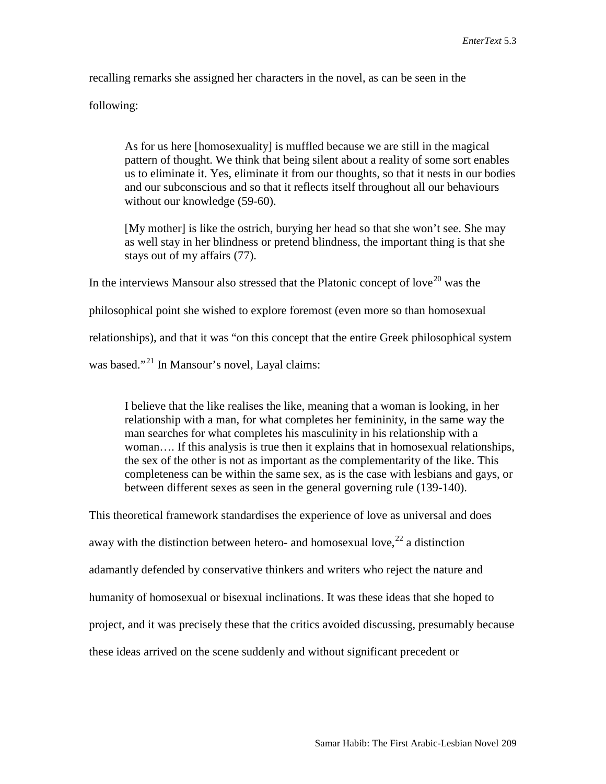recalling remarks she assigned her characters in the novel, as can be seen in the

following:

As for us here [homosexuality] is muffled because we are still in the magical pattern of thought. We think that being silent about a reality of some sort enables us to eliminate it. Yes, eliminate it from our thoughts, so that it nests in our bodies and our subconscious and so that it reflects itself throughout all our behaviours without our knowledge (59-60).

[My mother] is like the ostrich, burying her head so that she won't see. She may as well stay in her blindness or pretend blindness, the important thing is that she stays out of my affairs (77).

In the interviews Mansour also stressed that the Platonic concept of love<sup>[20](#page-34-13)</sup> was the philosophical point she wished to explore foremost (even more so than homosexual relationships), and that it was "on this concept that the entire Greek philosophical system was based."<sup>[21](#page-34-14)</sup> In Mansour's novel, Layal claims:

I believe that the like realises the like, meaning that a woman is looking, in her relationship with a man, for what completes her femininity, in the same way the man searches for what completes his masculinity in his relationship with a woman…. If this analysis is true then it explains that in homosexual relationships, the sex of the other is not as important as the complementarity of the like. This completeness can be within the same sex, as is the case with lesbians and gays, or between different sexes as seen in the general governing rule (139-140).

This theoretical framework standardises the experience of love as universal and does away with the distinction between hetero- and homosexual love,  $2^2$  a distinction adamantly defended by conservative thinkers and writers who reject the nature and humanity of homosexual or bisexual inclinations. It was these ideas that she hoped to project, and it was precisely these that the critics avoided discussing, presumably because these ideas arrived on the scene suddenly and without significant precedent or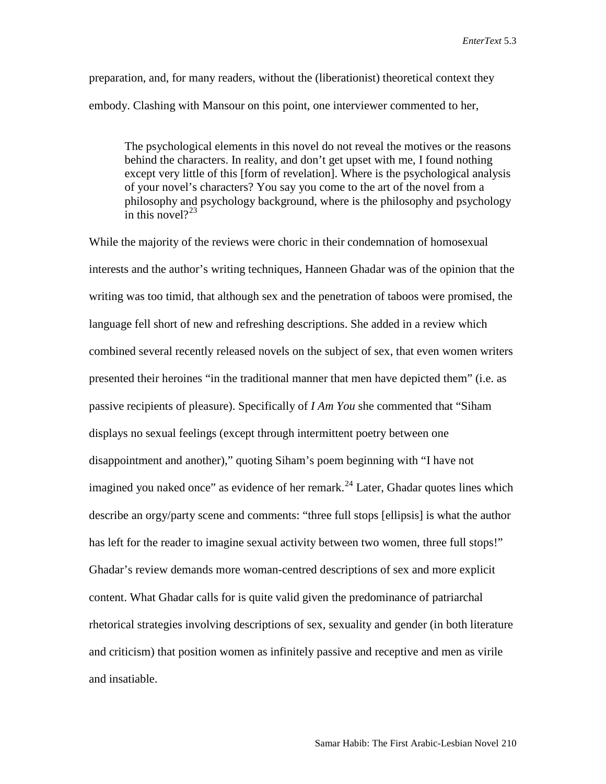preparation, and, for many readers, without the (liberationist) theoretical context they embody. Clashing with Mansour on this point, one interviewer commented to her,

The psychological elements in this novel do not reveal the motives or the reasons behind the characters. In reality, and don't get upset with me, I found nothing except very little of this [form of revelation]. Where is the psychological analysis of your novel's characters? You say you come to the art of the novel from a philosophy and psychology background, where is the philosophy and psychology in this novel  $2^{23}$  $2^{23}$  $2^{23}$ 

While the majority of the reviews were choric in their condemnation of homosexual interests and the author's writing techniques, Hanneen Ghadar was of the opinion that the writing was too timid, that although sex and the penetration of taboos were promised, the language fell short of new and refreshing descriptions. She added in a review which combined several recently released novels on the subject of sex, that even women writers presented their heroines "in the traditional manner that men have depicted them" (i.e. as passive recipients of pleasure). Specifically of *I Am You* she commented that "Siham displays no sexual feelings (except through intermittent poetry between one disappointment and another)," quoting Siham's poem beginning with "I have not imagined you naked once" as evidence of her remark.<sup>[24](#page-34-16)</sup> Later, Ghadar quotes lines which describe an orgy/party scene and comments: "three full stops [ellipsis] is what the author has left for the reader to imagine sexual activity between two women, three full stops!" Ghadar's review demands more woman-centred descriptions of sex and more explicit content. What Ghadar calls for is quite valid given the predominance of patriarchal rhetorical strategies involving descriptions of sex, sexuality and gender (in both literature and criticism) that position women as infinitely passive and receptive and men as virile and insatiable.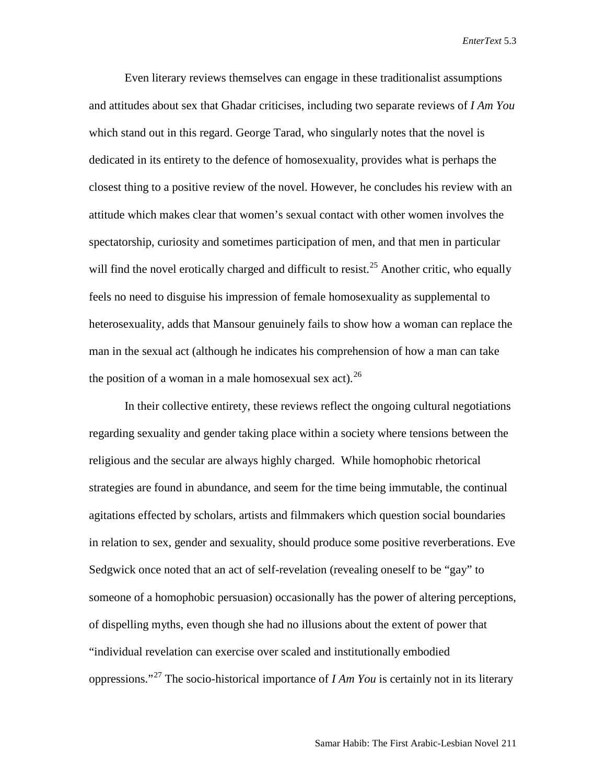Even literary reviews themselves can engage in these traditionalist assumptions and attitudes about sex that Ghadar criticises, including two separate reviews of *I Am You* which stand out in this regard. George Tarad, who singularly notes that the novel is dedicated in its entirety to the defence of homosexuality, provides what is perhaps the closest thing to a positive review of the novel. However, he concludes his review with an attitude which makes clear that women's sexual contact with other women involves the spectatorship, curiosity and sometimes participation of men, and that men in particular will find the novel erotically charged and difficult to resist.<sup>[25](#page-34-17)</sup> Another critic, who equally feels no need to disguise his impression of female homosexuality as supplemental to heterosexuality, adds that Mansour genuinely fails to show how a woman can replace the man in the sexual act (although he indicates his comprehension of how a man can take the position of a woman in a male homosexual sex act).  $2^6$ 

In their collective entirety, these reviews reflect the ongoing cultural negotiations regarding sexuality and gender taking place within a society where tensions between the religious and the secular are always highly charged. While homophobic rhetorical strategies are found in abundance, and seem for the time being immutable, the continual agitations effected by scholars, artists and filmmakers which question social boundaries in relation to sex, gender and sexuality, should produce some positive reverberations. Eve Sedgwick once noted that an act of self-revelation (revealing oneself to be "gay" to someone of a homophobic persuasion) occasionally has the power of altering perceptions, of dispelling myths, even though she had no illusions about the extent of power that "individual revelation can exercise over scaled and institutionally embodied oppressions."[27](#page-34-19) The socio-historical importance of *I Am You* is certainly not in its literary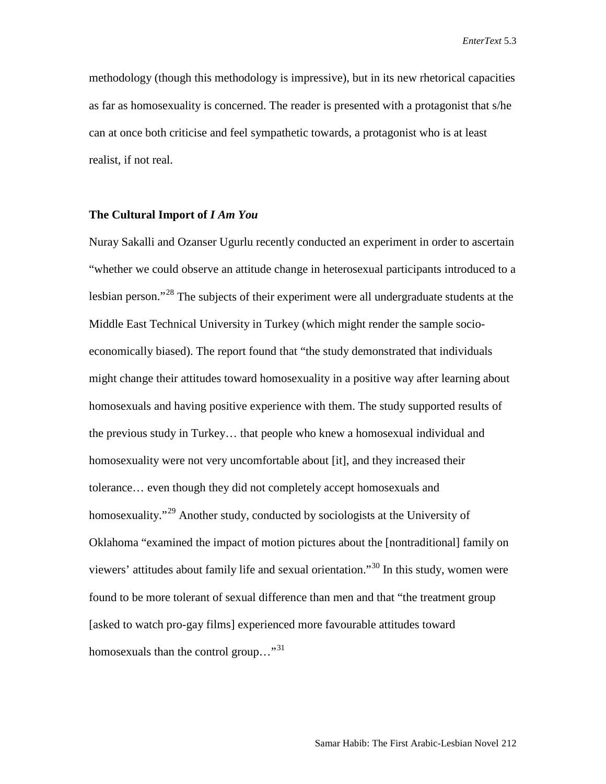methodology (though this methodology is impressive), but in its new rhetorical capacities as far as homosexuality is concerned. The reader is presented with a protagonist that s/he can at once both criticise and feel sympathetic towards, a protagonist who is at least realist, if not real.

## **The Cultural Import of** *I Am You*

Nuray Sakalli and Ozanser Ugurlu recently conducted an experiment in order to ascertain "whether we could observe an attitude change in heterosexual participants introduced to a lesbian person."[28](#page-34-20) The subjects of their experiment were all undergraduate students at the Middle East Technical University in Turkey (which might render the sample socioeconomically biased). The report found that "the study demonstrated that individuals might change their attitudes toward homosexuality in a positive way after learning about homosexuals and having positive experience with them. The study supported results of the previous study in Turkey… that people who knew a homosexual individual and homosexuality were not very uncomfortable about [it], and they increased their tolerance… even though they did not completely accept homosexuals and homosexuality."<sup>[29](#page-34-3)</sup> Another study, conducted by sociologists at the University of Oklahoma "examined the impact of motion pictures about the [nontraditional] family on viewers' attitudes about family life and sexual orientation."[30](#page-34-4) In this study, women were found to be more tolerant of sexual difference than men and that "the treatment group [asked to watch pro-gay films] experienced more favourable attitudes toward homosexuals than the control group..."<sup>[31](#page-34-21)</sup>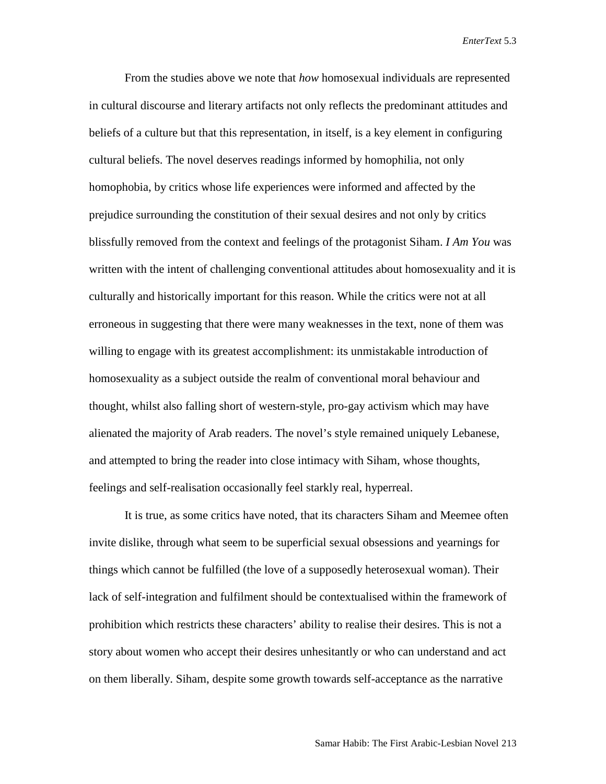From the studies above we note that *how* homosexual individuals are represented in cultural discourse and literary artifacts not only reflects the predominant attitudes and beliefs of a culture but that this representation, in itself, is a key element in configuring cultural beliefs. The novel deserves readings informed by homophilia, not only homophobia, by critics whose life experiences were informed and affected by the prejudice surrounding the constitution of their sexual desires and not only by critics blissfully removed from the context and feelings of the protagonist Siham. *I Am You* was written with the intent of challenging conventional attitudes about homosexuality and it is culturally and historically important for this reason. While the critics were not at all erroneous in suggesting that there were many weaknesses in the text, none of them was willing to engage with its greatest accomplishment: its unmistakable introduction of homosexuality as a subject outside the realm of conventional moral behaviour and thought, whilst also falling short of western-style, pro-gay activism which may have alienated the majority of Arab readers. The novel's style remained uniquely Lebanese, and attempted to bring the reader into close intimacy with Siham, whose thoughts, feelings and self-realisation occasionally feel starkly real, hyperreal.

It is true, as some critics have noted, that its characters Siham and Meemee often invite dislike, through what seem to be superficial sexual obsessions and yearnings for things which cannot be fulfilled (the love of a supposedly heterosexual woman). Their lack of self-integration and fulfilment should be contextualised within the framework of prohibition which restricts these characters' ability to realise their desires. This is not a story about women who accept their desires unhesitantly or who can understand and act on them liberally. Siham, despite some growth towards self-acceptance as the narrative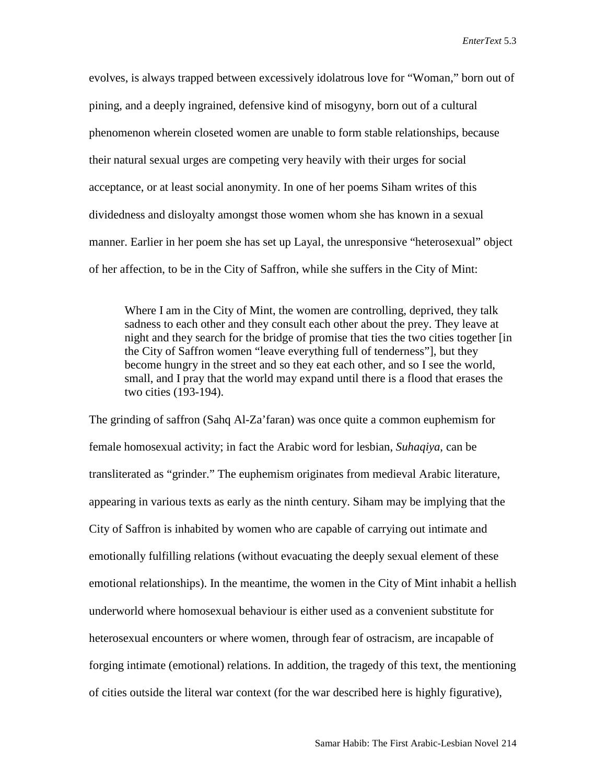evolves, is always trapped between excessively idolatrous love for "Woman," born out of pining, and a deeply ingrained, defensive kind of misogyny, born out of a cultural phenomenon wherein closeted women are unable to form stable relationships, because their natural sexual urges are competing very heavily with their urges for social acceptance, or at least social anonymity. In one of her poems Siham writes of this dividedness and disloyalty amongst those women whom she has known in a sexual manner. Earlier in her poem she has set up Layal, the unresponsive "heterosexual" object of her affection, to be in the City of Saffron, while she suffers in the City of Mint:

Where I am in the City of Mint, the women are controlling, deprived, they talk sadness to each other and they consult each other about the prey. They leave at night and they search for the bridge of promise that ties the two cities together [in the City of Saffron women "leave everything full of tenderness"], but they become hungry in the street and so they eat each other, and so I see the world, small, and I pray that the world may expand until there is a flood that erases the two cities (193-194).

The grinding of saffron (Sahq Al-Za'faran) was once quite a common euphemism for female homosexual activity; in fact the Arabic word for lesbian, *Suhaqiya*, can be transliterated as "grinder." The euphemism originates from medieval Arabic literature, appearing in various texts as early as the ninth century. Siham may be implying that the City of Saffron is inhabited by women who are capable of carrying out intimate and emotionally fulfilling relations (without evacuating the deeply sexual element of these emotional relationships). In the meantime, the women in the City of Mint inhabit a hellish underworld where homosexual behaviour is either used as a convenient substitute for heterosexual encounters or where women, through fear of ostracism, are incapable of forging intimate (emotional) relations. In addition, the tragedy of this text, the mentioning of cities outside the literal war context (for the war described here is highly figurative),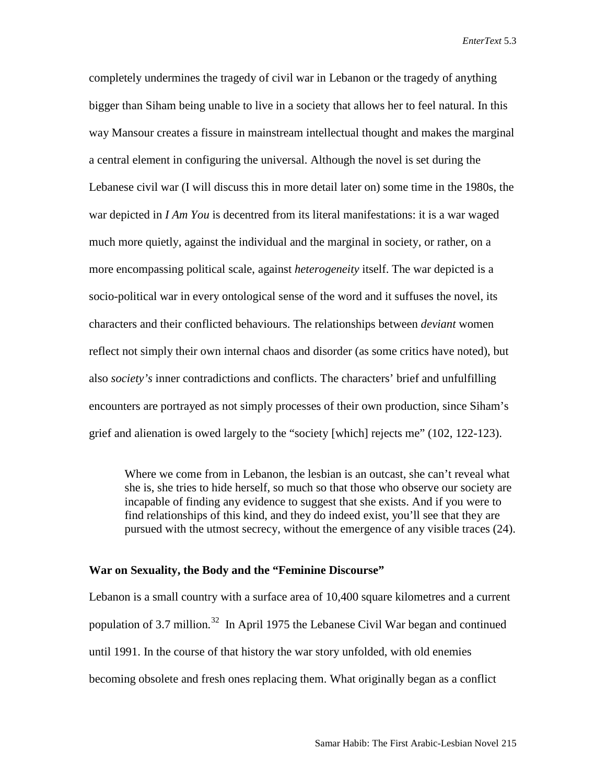completely undermines the tragedy of civil war in Lebanon or the tragedy of anything bigger than Siham being unable to live in a society that allows her to feel natural. In this way Mansour creates a fissure in mainstream intellectual thought and makes the marginal a central element in configuring the universal. Although the novel is set during the Lebanese civil war (I will discuss this in more detail later on) some time in the 1980s, the war depicted in *I Am You* is decentred from its literal manifestations: it is a war waged much more quietly, against the individual and the marginal in society, or rather, on a more encompassing political scale, against *heterogeneity* itself. The war depicted is a socio-political war in every ontological sense of the word and it suffuses the novel, its characters and their conflicted behaviours. The relationships between *deviant* women reflect not simply their own internal chaos and disorder (as some critics have noted), but also *society's* inner contradictions and conflicts. The characters' brief and unfulfilling encounters are portrayed as not simply processes of their own production, since Siham's grief and alienation is owed largely to the "society [which] rejects me" (102, 122-123).

Where we come from in Lebanon, the lesbian is an outcast, she can't reveal what she is, she tries to hide herself, so much so that those who observe our society are incapable of finding any evidence to suggest that she exists. And if you were to find relationships of this kind, and they do indeed exist, you'll see that they are pursued with the utmost secrecy, without the emergence of any visible traces (24).

#### **War on Sexuality, the Body and the "Feminine Discourse"**

Lebanon is a small country with a surface area of 10,400 square kilometres and a current population of 3.7 million.<sup>32</sup> In April 1975 the Lebanese Civil War began and continued until 1991. In the course of that history the war story unfolded, with old enemies becoming obsolete and fresh ones replacing them. What originally began as a conflict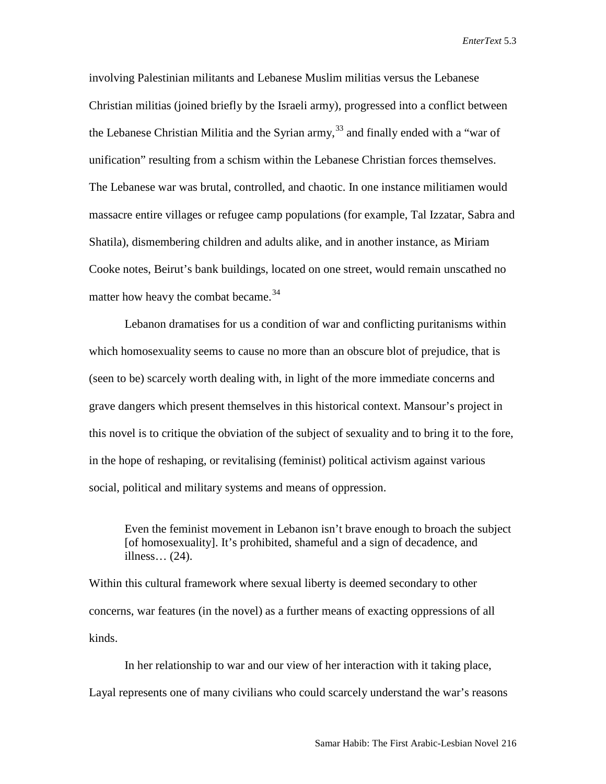involving Palestinian militants and Lebanese Muslim militias versus the Lebanese Christian militias (joined briefly by the Israeli army), progressed into a conflict between the Lebanese Christian Militia and the Syrian army,<sup>[33](#page-34-22)</sup> and finally ended with a "war of unification" resulting from a schism within the Lebanese Christian forces themselves. The Lebanese war was brutal, controlled, and chaotic. In one instance militiamen would massacre entire villages or refugee camp populations (for example, Tal Izzatar, Sabra and Shatila), dismembering children and adults alike, and in another instance, as Miriam Cooke notes, Beirut's bank buildings, located on one street, would remain unscathed no matter how heavy the combat became.<sup>[34](#page-34-23)</sup>

Lebanon dramatises for us a condition of war and conflicting puritanisms within which homosexuality seems to cause no more than an obscure blot of prejudice, that is (seen to be) scarcely worth dealing with, in light of the more immediate concerns and grave dangers which present themselves in this historical context. Mansour's project in this novel is to critique the obviation of the subject of sexuality and to bring it to the fore, in the hope of reshaping, or revitalising (feminist) political activism against various social, political and military systems and means of oppression.

Even the feminist movement in Lebanon isn't brave enough to broach the subject [of homosexuality]. It's prohibited, shameful and a sign of decadence, and illness… (24).

Within this cultural framework where sexual liberty is deemed secondary to other concerns, war features (in the novel) as a further means of exacting oppressions of all kinds.

In her relationship to war and our view of her interaction with it taking place, Layal represents one of many civilians who could scarcely understand the war's reasons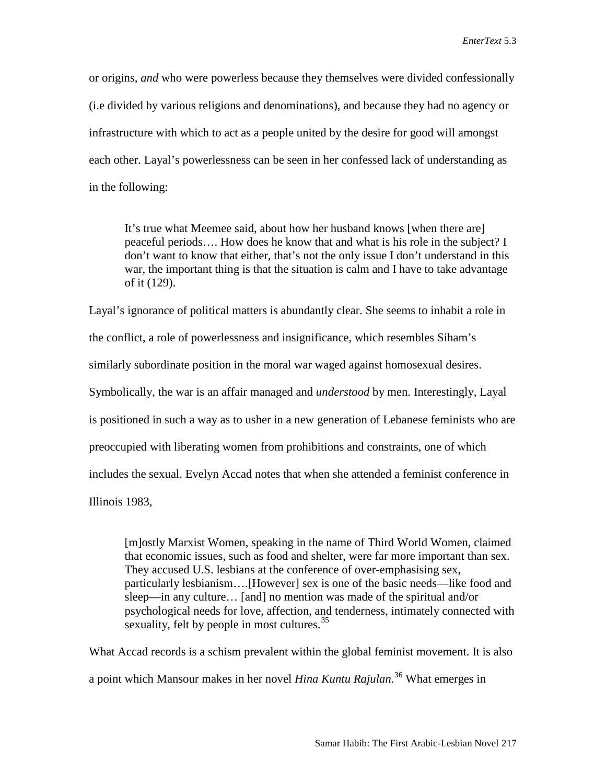or origins, *and* who were powerless because they themselves were divided confessionally (i.e divided by various religions and denominations), and because they had no agency or infrastructure with which to act as a people united by the desire for good will amongst each other. Layal's powerlessness can be seen in her confessed lack of understanding as in the following:

It's true what Meemee said, about how her husband knows [when there are] peaceful periods…. How does he know that and what is his role in the subject? I don't want to know that either, that's not the only issue I don't understand in this war, the important thing is that the situation is calm and I have to take advantage of it (129).

Layal's ignorance of political matters is abundantly clear. She seems to inhabit a role in the conflict, a role of powerlessness and insignificance, which resembles Siham's similarly subordinate position in the moral war waged against homosexual desires. Symbolically, the war is an affair managed and *understood* by men. Interestingly, Layal is positioned in such a way as to usher in a new generation of Lebanese feminists who are preoccupied with liberating women from prohibitions and constraints, one of which includes the sexual. Evelyn Accad notes that when she attended a feminist conference in Illinois 1983,

[m]ostly Marxist Women, speaking in the name of Third World Women, claimed that economic issues, such as food and shelter, were far more important than sex. They accused U.S. lesbians at the conference of over-emphasising sex, particularly lesbianism….[However] sex is one of the basic needs—like food and sleep—in any culture… [and] no mention was made of the spiritual and/or psychological needs for love, affection, and tenderness, intimately connected with sexuality, felt by people in most cultures.<sup>[35](#page-34-11)</sup>

What Accad records is a schism prevalent within the global feminist movement. It is also a point which Mansour makes in her novel *Hina Kuntu Rajulan*. [36](#page-34-24) What emerges in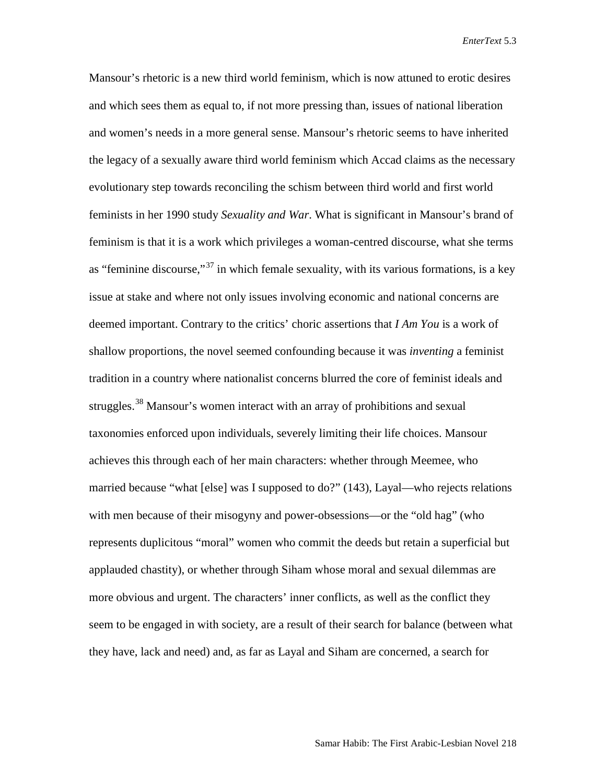Mansour's rhetoric is a new third world feminism, which is now attuned to erotic desires and which sees them as equal to, if not more pressing than, issues of national liberation and women's needs in a more general sense. Mansour's rhetoric seems to have inherited the legacy of a sexually aware third world feminism which Accad claims as the necessary evolutionary step towards reconciling the schism between third world and first world feminists in her 1990 study *Sexuality and War*. What is significant in Mansour's brand of feminism is that it is a work which privileges a woman-centred discourse, what she terms as "feminine discourse,"<sup>[37](#page-34-25)</sup> in which female sexuality, with its various formations, is a key issue at stake and where not only issues involving economic and national concerns are deemed important. Contrary to the critics' choric assertions that *I Am You* is a work of shallow proportions, the novel seemed confounding because it was *inventing* a feminist tradition in a country where nationalist concerns blurred the core of feminist ideals and struggles.<sup>[38](#page-34-26)</sup> Mansour's women interact with an array of prohibitions and sexual taxonomies enforced upon individuals, severely limiting their life choices. Mansour achieves this through each of her main characters: whether through Meemee, who married because "what [else] was I supposed to do?" (143), Layal—who rejects relations with men because of their misogyny and power-obsessions—or the "old hag" (who represents duplicitous "moral" women who commit the deeds but retain a superficial but applauded chastity), or whether through Siham whose moral and sexual dilemmas are more obvious and urgent. The characters' inner conflicts, as well as the conflict they seem to be engaged in with society, are a result of their search for balance (between what they have, lack and need) and, as far as Layal and Siham are concerned, a search for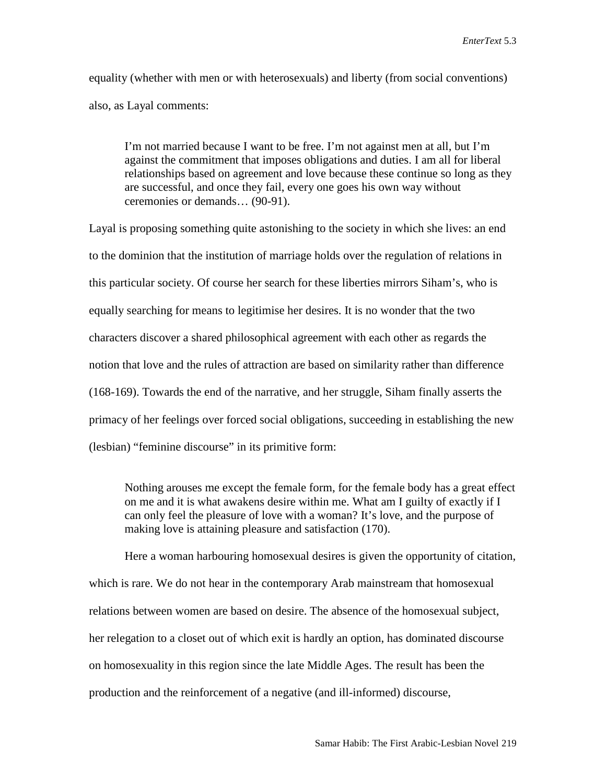equality (whether with men or with heterosexuals) and liberty (from social conventions) also, as Layal comments:

I'm not married because I want to be free. I'm not against men at all, but I'm against the commitment that imposes obligations and duties. I am all for liberal relationships based on agreement and love because these continue so long as they are successful, and once they fail, every one goes his own way without ceremonies or demands… (90-91).

Layal is proposing something quite astonishing to the society in which she lives: an end to the dominion that the institution of marriage holds over the regulation of relations in this particular society. Of course her search for these liberties mirrors Siham's, who is equally searching for means to legitimise her desires. It is no wonder that the two characters discover a shared philosophical agreement with each other as regards the notion that love and the rules of attraction are based on similarity rather than difference (168-169). Towards the end of the narrative, and her struggle, Siham finally asserts the primacy of her feelings over forced social obligations, succeeding in establishing the new (lesbian) "feminine discourse" in its primitive form:

Nothing arouses me except the female form, for the female body has a great effect on me and it is what awakens desire within me. What am I guilty of exactly if I can only feel the pleasure of love with a woman? It's love, and the purpose of making love is attaining pleasure and satisfaction (170).

Here a woman harbouring homosexual desires is given the opportunity of citation, which is rare. We do not hear in the contemporary Arab mainstream that homosexual relations between women are based on desire. The absence of the homosexual subject, her relegation to a closet out of which exit is hardly an option, has dominated discourse on homosexuality in this region since the late Middle Ages. The result has been the production and the reinforcement of a negative (and ill-informed) discourse,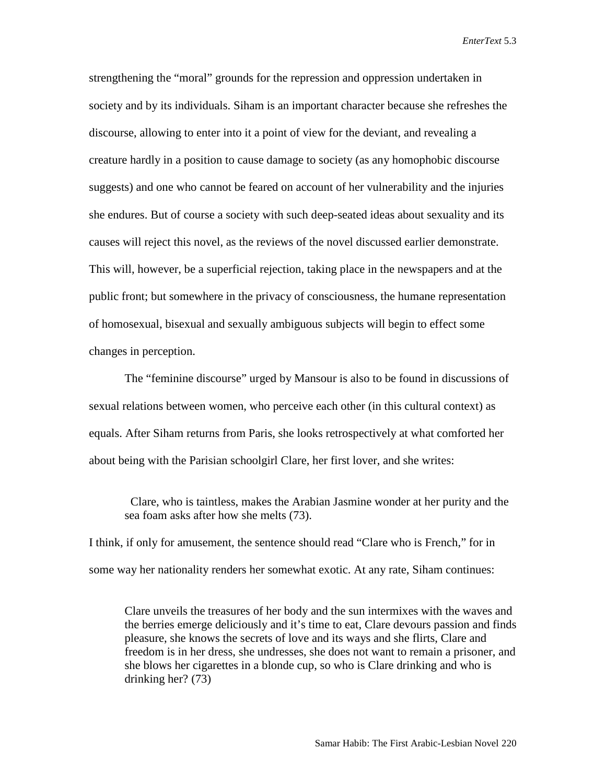strengthening the "moral" grounds for the repression and oppression undertaken in society and by its individuals. Siham is an important character because she refreshes the discourse, allowing to enter into it a point of view for the deviant, and revealing a creature hardly in a position to cause damage to society (as any homophobic discourse suggests) and one who cannot be feared on account of her vulnerability and the injuries she endures. But of course a society with such deep-seated ideas about sexuality and its causes will reject this novel, as the reviews of the novel discussed earlier demonstrate. This will, however, be a superficial rejection, taking place in the newspapers and at the public front; but somewhere in the privacy of consciousness, the humane representation of homosexual, bisexual and sexually ambiguous subjects will begin to effect some changes in perception.

The "feminine discourse" urged by Mansour is also to be found in discussions of sexual relations between women, who perceive each other (in this cultural context) as equals. After Siham returns from Paris, she looks retrospectively at what comforted her about being with the Parisian schoolgirl Clare, her first lover, and she writes:

Clare, who is taintless, makes the Arabian Jasmine wonder at her purity and the sea foam asks after how she melts (73).

I think, if only for amusement, the sentence should read "Clare who is French," for in some way her nationality renders her somewhat exotic. At any rate, Siham continues:

Clare unveils the treasures of her body and the sun intermixes with the waves and the berries emerge deliciously and it's time to eat, Clare devours passion and finds pleasure, she knows the secrets of love and its ways and she flirts, Clare and freedom is in her dress, she undresses, she does not want to remain a prisoner, and she blows her cigarettes in a blonde cup, so who is Clare drinking and who is drinking her? (73)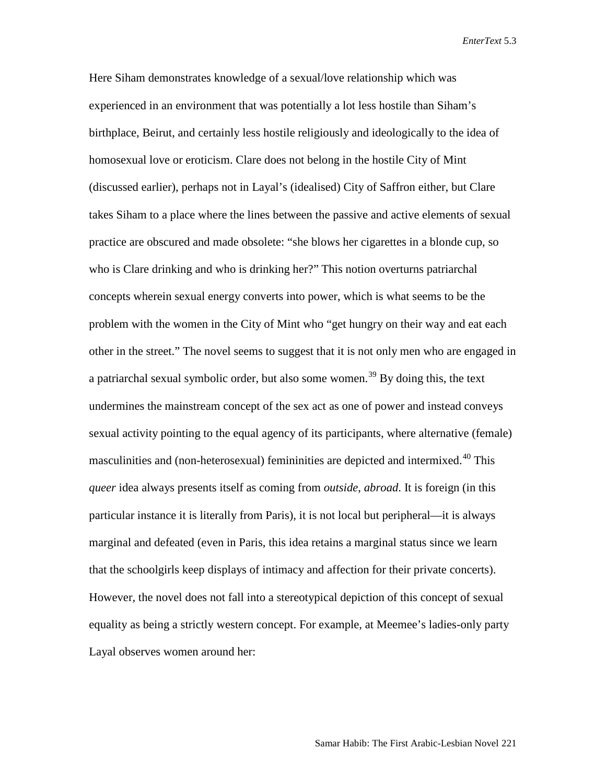Here Siham demonstrates knowledge of a sexual/love relationship which was experienced in an environment that was potentially a lot less hostile than Siham's birthplace, Beirut, and certainly less hostile religiously and ideologically to the idea of homosexual love or eroticism. Clare does not belong in the hostile City of Mint (discussed earlier), perhaps not in Layal's (idealised) City of Saffron either, but Clare takes Siham to a place where the lines between the passive and active elements of sexual practice are obscured and made obsolete: "she blows her cigarettes in a blonde cup, so who is Clare drinking and who is drinking her?" This notion overturns patriarchal concepts wherein sexual energy converts into power, which is what seems to be the problem with the women in the City of Mint who "get hungry on their way and eat each other in the street." The novel seems to suggest that it is not only men who are engaged in a patriarchal sexual symbolic order, but also some women.<sup>[39](#page-34-27)</sup> By doing this, the text undermines the mainstream concept of the sex act as one of power and instead conveys sexual activity pointing to the equal agency of its participants, where alternative (female) masculinities and (non-heterosexual) femininities are depicted and intermixed.<sup>[40](#page-34-15)</sup> This *queer* idea always presents itself as coming from *outside*, *abroad*. It is foreign (in this particular instance it is literally from Paris), it is not local but peripheral—it is always marginal and defeated (even in Paris, this idea retains a marginal status since we learn that the schoolgirls keep displays of intimacy and affection for their private concerts). However, the novel does not fall into a stereotypical depiction of this concept of sexual equality as being a strictly western concept. For example, at Meemee's ladies-only party Layal observes women around her: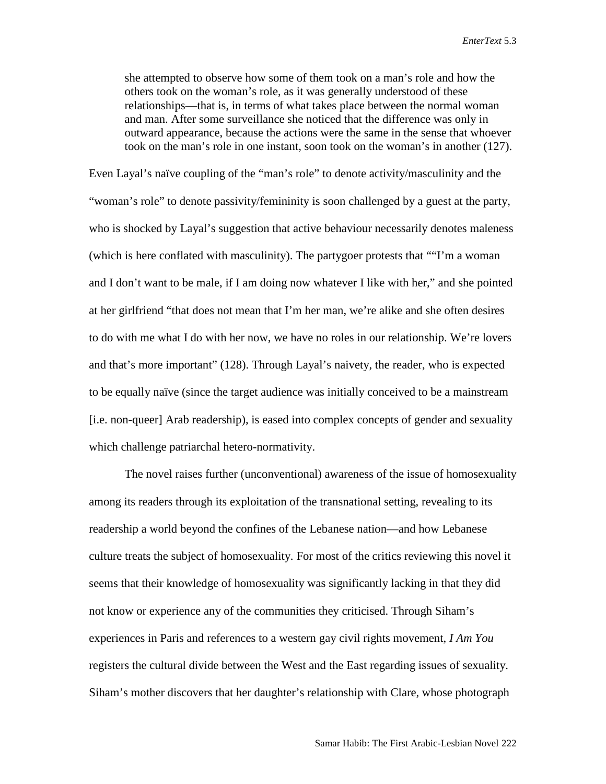she attempted to observe how some of them took on a man's role and how the others took on the woman's role, as it was generally understood of these relationships—that is, in terms of what takes place between the normal woman and man. After some surveillance she noticed that the difference was only in outward appearance, because the actions were the same in the sense that whoever took on the man's role in one instant, soon took on the woman's in another (127).

Even Layal's naïve coupling of the "man's role" to denote activity/masculinity and the "woman's role" to denote passivity/femininity is soon challenged by a guest at the party, who is shocked by Layal's suggestion that active behaviour necessarily denotes maleness (which is here conflated with masculinity). The partygoer protests that ""I'm a woman and I don't want to be male, if I am doing now whatever I like with her," and she pointed at her girlfriend "that does not mean that I'm her man, we're alike and she often desires to do with me what I do with her now, we have no roles in our relationship. We're lovers and that's more important" (128). Through Layal's naivety, the reader, who is expected to be equally naïve (since the target audience was initially conceived to be a mainstream [i.e. non-queer] Arab readership), is eased into complex concepts of gender and sexuality which challenge patriarchal hetero-normativity.

The novel raises further (unconventional) awareness of the issue of homosexuality among its readers through its exploitation of the transnational setting, revealing to its readership a world beyond the confines of the Lebanese nation—and how Lebanese culture treats the subject of homosexuality. For most of the critics reviewing this novel it seems that their knowledge of homosexuality was significantly lacking in that they did not know or experience any of the communities they criticised. Through Siham's experiences in Paris and references to a western gay civil rights movement, *I Am You* registers the cultural divide between the West and the East regarding issues of sexuality. Siham's mother discovers that her daughter's relationship with Clare, whose photograph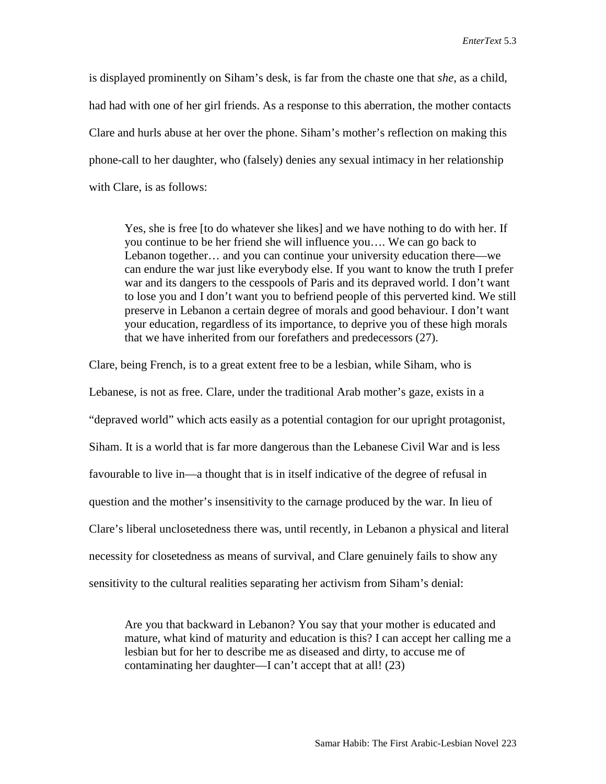is displayed prominently on Siham's desk, is far from the chaste one that *she*, as a child, had had with one of her girl friends. As a response to this aberration, the mother contacts Clare and hurls abuse at her over the phone. Siham's mother's reflection on making this phone-call to her daughter, who (falsely) denies any sexual intimacy in her relationship with Clare, is as follows:

Yes, she is free [to do whatever she likes] and we have nothing to do with her. If you continue to be her friend she will influence you…. We can go back to Lebanon together… and you can continue your university education there—we can endure the war just like everybody else. If you want to know the truth I prefer war and its dangers to the cesspools of Paris and its depraved world. I don't want to lose you and I don't want you to befriend people of this perverted kind. We still preserve in Lebanon a certain degree of morals and good behaviour. I don't want your education, regardless of its importance, to deprive you of these high morals that we have inherited from our forefathers and predecessors (27).

Clare, being French, is to a great extent free to be a lesbian, while Siham, who is Lebanese, is not as free. Clare, under the traditional Arab mother's gaze, exists in a "depraved world" which acts easily as a potential contagion for our upright protagonist, Siham. It is a world that is far more dangerous than the Lebanese Civil War and is less favourable to live in—a thought that is in itself indicative of the degree of refusal in question and the mother's insensitivity to the carnage produced by the war. In lieu of Clare's liberal unclosetedness there was, until recently, in Lebanon a physical and literal necessity for closetedness as means of survival, and Clare genuinely fails to show any sensitivity to the cultural realities separating her activism from Siham's denial:

Are you that backward in Lebanon? You say that your mother is educated and mature, what kind of maturity and education is this? I can accept her calling me a lesbian but for her to describe me as diseased and dirty, to accuse me of contaminating her daughter—I can't accept that at all! (23)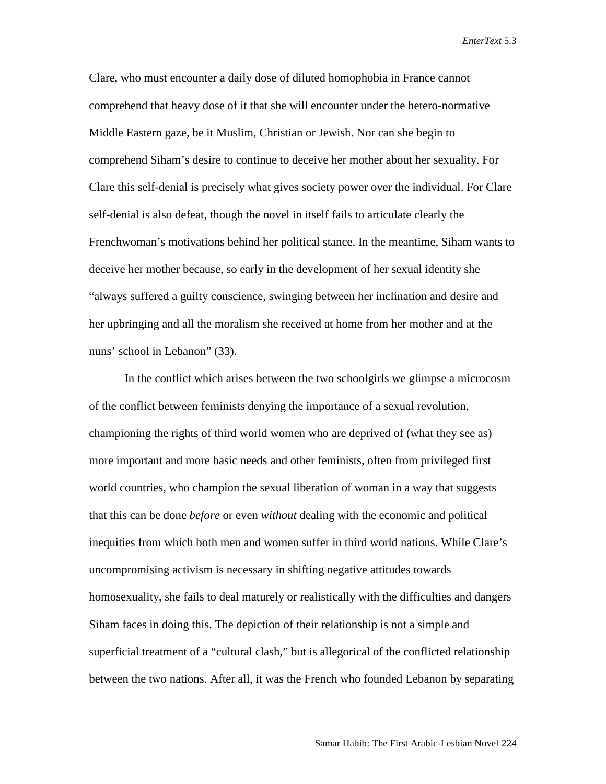Clare, who must encounter a daily dose of diluted homophobia in France cannot comprehend that heavy dose of it that she will encounter under the hetero-normative Middle Eastern gaze, be it Muslim, Christian or Jewish. Nor can she begin to comprehend Siham's desire to continue to deceive her mother about her sexuality. For Clare this self-denial is precisely what gives society power over the individual. For Clare self-denial is also defeat, though the novel in itself fails to articulate clearly the Frenchwoman's motivations behind her political stance. In the meantime, Siham wants to deceive her mother because, so early in the development of her sexual identity she "always suffered a guilty conscience, swinging between her inclination and desire and her upbringing and all the moralism she received at home from her mother and at the nuns' school in Lebanon" (33).

In the conflict which arises between the two schoolgirls we glimpse a microcosm of the conflict between feminists denying the importance of a sexual revolution, championing the rights of third world women who are deprived of (what they see as) more important and more basic needs and other feminists, often from privileged first world countries, who champion the sexual liberation of woman in a way that suggests that this can be done *before* or even *without* dealing with the economic and political inequities from which both men and women suffer in third world nations. While Clare's uncompromising activism is necessary in shifting negative attitudes towards homosexuality, she fails to deal maturely or realistically with the difficulties and dangers Siham faces in doing this. The depiction of their relationship is not a simple and superficial treatment of a "cultural clash," but is allegorical of the conflicted relationship between the two nations. After all, it was the French who founded Lebanon by separating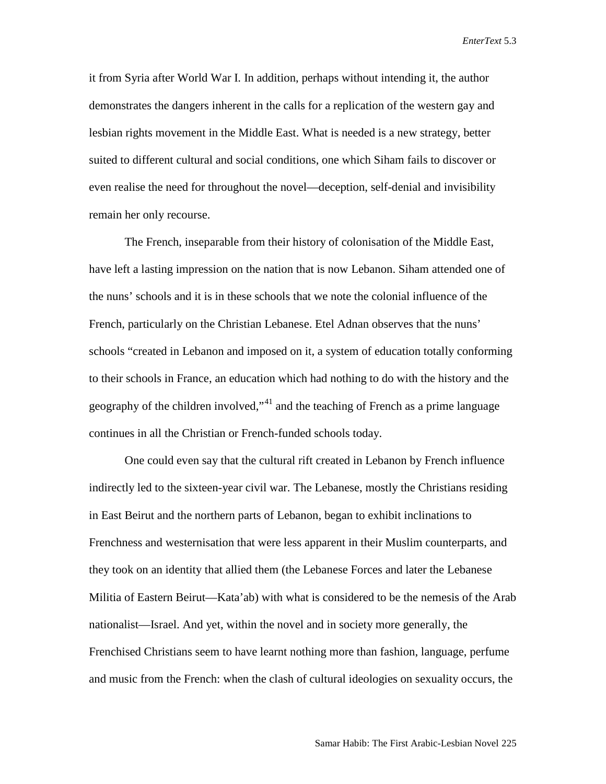it from Syria after World War I. In addition, perhaps without intending it, the author demonstrates the dangers inherent in the calls for a replication of the western gay and lesbian rights movement in the Middle East. What is needed is a new strategy, better suited to different cultural and social conditions, one which Siham fails to discover or even realise the need for throughout the novel—deception, self-denial and invisibility remain her only recourse.

The French, inseparable from their history of colonisation of the Middle East, have left a lasting impression on the nation that is now Lebanon. Siham attended one of the nuns' schools and it is in these schools that we note the colonial influence of the French, particularly on the Christian Lebanese. Etel Adnan observes that the nuns' schools "created in Lebanon and imposed on it, a system of education totally conforming to their schools in France, an education which had nothing to do with the history and the geography of the children involved,"<sup>[41](#page-34-19)</sup> and the teaching of French as a prime language continues in all the Christian or French-funded schools today.

One could even say that the cultural rift created in Lebanon by French influence indirectly led to the sixteen-year civil war. The Lebanese, mostly the Christians residing in East Beirut and the northern parts of Lebanon, began to exhibit inclinations to Frenchness and westernisation that were less apparent in their Muslim counterparts, and they took on an identity that allied them (the Lebanese Forces and later the Lebanese Militia of Eastern Beirut—Kata'ab) with what is considered to be the nemesis of the Arab nationalist—Israel. And yet, within the novel and in society more generally, the Frenchised Christians seem to have learnt nothing more than fashion, language, perfume and music from the French: when the clash of cultural ideologies on sexuality occurs, the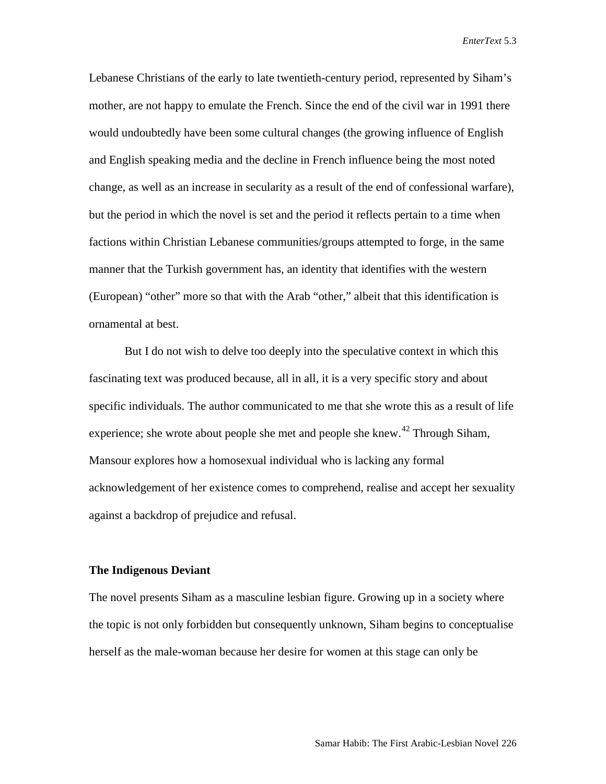Lebanese Christians of the early to late twentieth-century period, represented by Siham's mother, are not happy to emulate the French. Since the end of the civil war in 1991 there would undoubtedly have been some cultural changes (the growing influence of English and English speaking media and the decline in French influence being the most noted change, as well as an increase in secularity as a result of the end of confessional warfare), but the period in which the novel is set and the period it reflects pertain to a time when factions within Christian Lebanese communities/groups attempted to forge, in the same manner that the Turkish government has, an identity that identifies with the western (European) "other" more so that with the Arab "other," albeit that this identification is ornamental at best.

But I do not wish to delve too deeply into the speculative context in which this fascinating text was produced because, all in all, it is a very specific story and about specific individuals. The author communicated to me that she wrote this as a result of life experience; she wrote about people she met and people she knew.<sup>[42](#page-34-3)</sup> Through Siham, Mansour explores how a homosexual individual who is lacking any formal acknowledgement of her existence comes to comprehend, realise and accept her sexuality against a backdrop of prejudice and refusal.

#### **The Indigenous Deviant**

The novel presents Siham as a masculine lesbian figure. Growing up in a society where the topic is not only forbidden but consequently unknown, Siham begins to conceptualise herself as the male-woman because her desire for women at this stage can only be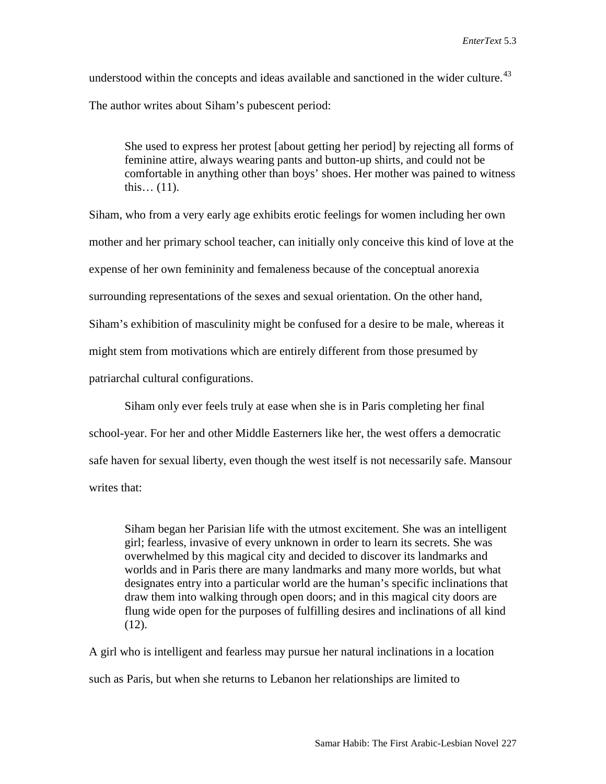understood within the concepts and ideas available and sanctioned in the wider culture.<sup>43</sup> The author writes about Siham's pubescent period:

She used to express her protest [about getting her period] by rejecting all forms of feminine attire, always wearing pants and button-up shirts, and could not be comfortable in anything other than boys' shoes. Her mother was pained to witness this… (11).

Siham, who from a very early age exhibits erotic feelings for women including her own mother and her primary school teacher, can initially only conceive this kind of love at the expense of her own femininity and femaleness because of the conceptual anorexia surrounding representations of the sexes and sexual orientation. On the other hand, Siham's exhibition of masculinity might be confused for a desire to be male, whereas it might stem from motivations which are entirely different from those presumed by patriarchal cultural configurations.

Siham only ever feels truly at ease when she is in Paris completing her final school-year. For her and other Middle Easterners like her, the west offers a democratic safe haven for sexual liberty, even though the west itself is not necessarily safe. Mansour writes that:

Siham began her Parisian life with the utmost excitement. She was an intelligent girl; fearless, invasive of every unknown in order to learn its secrets. She was overwhelmed by this magical city and decided to discover its landmarks and worlds and in Paris there are many landmarks and many more worlds, but what designates entry into a particular world are the human's specific inclinations that draw them into walking through open doors; and in this magical city doors are flung wide open for the purposes of fulfilling desires and inclinations of all kind  $(12)$ .

A girl who is intelligent and fearless may pursue her natural inclinations in a location such as Paris, but when she returns to Lebanon her relationships are limited to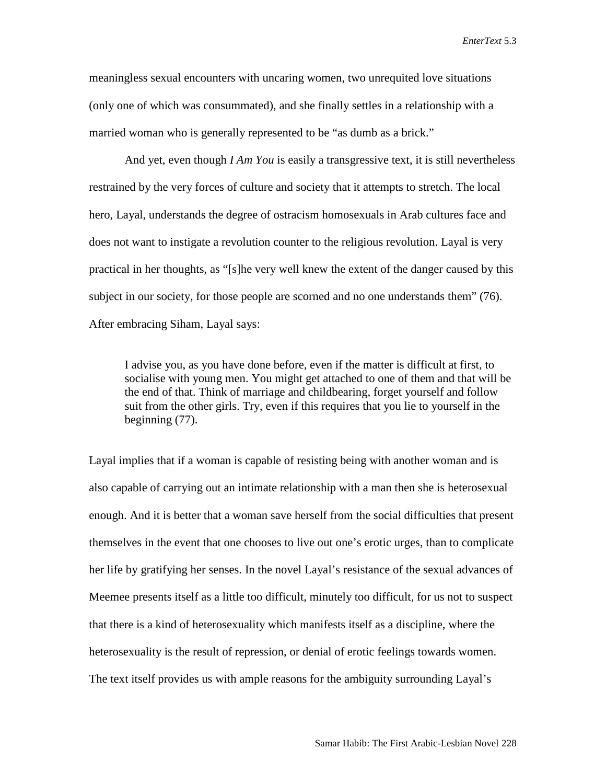meaningless sexual encounters with uncaring women, two unrequited love situations (only one of which was consummated), and she finally settles in a relationship with a married woman who is generally represented to be "as dumb as a brick."

And yet, even though *I Am You* is easily a transgressive text, it is still nevertheless restrained by the very forces of culture and society that it attempts to stretch. The local hero, Layal, understands the degree of ostracism homosexuals in Arab cultures face and does not want to instigate a revolution counter to the religious revolution. Layal is very practical in her thoughts, as "[s]he very well knew the extent of the danger caused by this subject in our society, for those people are scorned and no one understands them" (76). After embracing Siham, Layal says:

I advise you, as you have done before, even if the matter is difficult at first, to socialise with young men. You might get attached to one of them and that will be the end of that. Think of marriage and childbearing, forget yourself and follow suit from the other girls. Try, even if this requires that you lie to yourself in the beginning (77).

Layal implies that if a woman is capable of resisting being with another woman and is also capable of carrying out an intimate relationship with a man then she is heterosexual enough. And it is better that a woman save herself from the social difficulties that present themselves in the event that one chooses to live out one's erotic urges, than to complicate her life by gratifying her senses. In the novel Layal's resistance of the sexual advances of Meemee presents itself as a little too difficult, minutely too difficult, for us not to suspect that there is a kind of heterosexuality which manifests itself as a discipline, where the heterosexuality is the result of repression, or denial of erotic feelings towards women. The text itself provides us with ample reasons for the ambiguity surrounding Layal's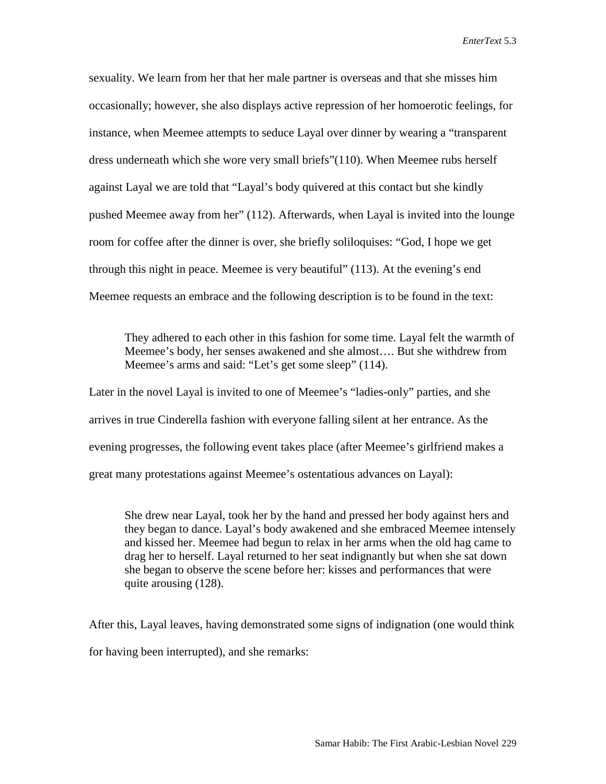sexuality. We learn from her that her male partner is overseas and that she misses him occasionally; however, she also displays active repression of her homoerotic feelings, for instance, when Meemee attempts to seduce Layal over dinner by wearing a "transparent dress underneath which she wore very small briefs"(110). When Meemee rubs herself against Layal we are told that "Layal's body quivered at this contact but she kindly pushed Meemee away from her" (112). Afterwards, when Layal is invited into the lounge room for coffee after the dinner is over, she briefly soliloquises: "God, I hope we get through this night in peace. Meemee is very beautiful" (113). At the evening's end Meemee requests an embrace and the following description is to be found in the text:

They adhered to each other in this fashion for some time. Layal felt the warmth of Meemee's body, her senses awakened and she almost…. But she withdrew from Meemee's arms and said: "Let's get some sleep" (114).

Later in the novel Layal is invited to one of Meemee's "ladies-only" parties, and she arrives in true Cinderella fashion with everyone falling silent at her entrance. As the evening progresses, the following event takes place (after Meemee's girlfriend makes a great many protestations against Meemee's ostentatious advances on Layal):

She drew near Layal, took her by the hand and pressed her body against hers and they began to dance. Layal's body awakened and she embraced Meemee intensely and kissed her. Meemee had begun to relax in her arms when the old hag came to drag her to herself. Layal returned to her seat indignantly but when she sat down she began to observe the scene before her: kisses and performances that were quite arousing (128).

After this, Layal leaves, having demonstrated some signs of indignation (one would think for having been interrupted), and she remarks: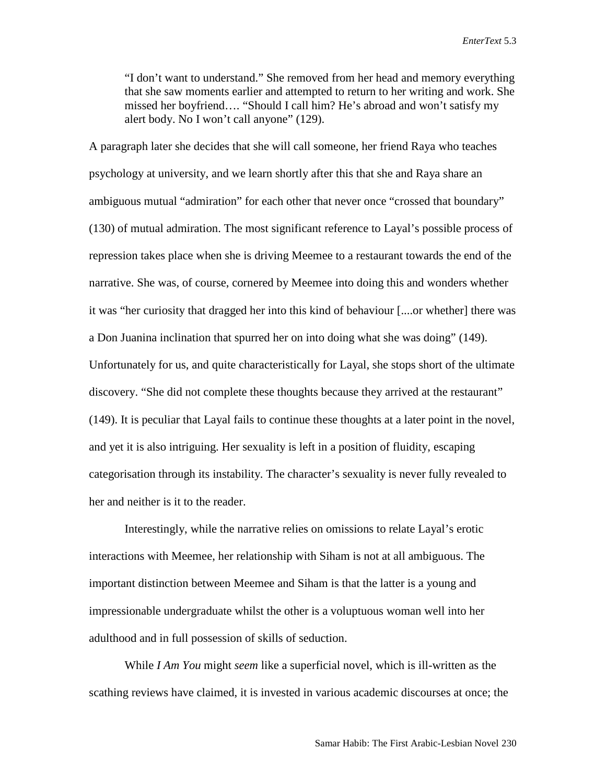"I don't want to understand." She removed from her head and memory everything that she saw moments earlier and attempted to return to her writing and work. She missed her boyfriend…. "Should I call him? He's abroad and won't satisfy my alert body. No I won't call anyone" (129).

A paragraph later she decides that she will call someone, her friend Raya who teaches psychology at university, and we learn shortly after this that she and Raya share an ambiguous mutual "admiration" for each other that never once "crossed that boundary" (130) of mutual admiration. The most significant reference to Layal's possible process of repression takes place when she is driving Meemee to a restaurant towards the end of the narrative. She was, of course, cornered by Meemee into doing this and wonders whether it was "her curiosity that dragged her into this kind of behaviour [....or whether] there was a Don Juanina inclination that spurred her on into doing what she was doing" (149). Unfortunately for us, and quite characteristically for Layal, she stops short of the ultimate discovery. "She did not complete these thoughts because they arrived at the restaurant" (149). It is peculiar that Layal fails to continue these thoughts at a later point in the novel, and yet it is also intriguing. Her sexuality is left in a position of fluidity, escaping categorisation through its instability. The character's sexuality is never fully revealed to her and neither is it to the reader.

Interestingly, while the narrative relies on omissions to relate Layal's erotic interactions with Meemee, her relationship with Siham is not at all ambiguous. The important distinction between Meemee and Siham is that the latter is a young and impressionable undergraduate whilst the other is a voluptuous woman well into her adulthood and in full possession of skills of seduction.

While *I Am You* might *seem* like a superficial novel, which is ill-written as the scathing reviews have claimed, it is invested in various academic discourses at once; the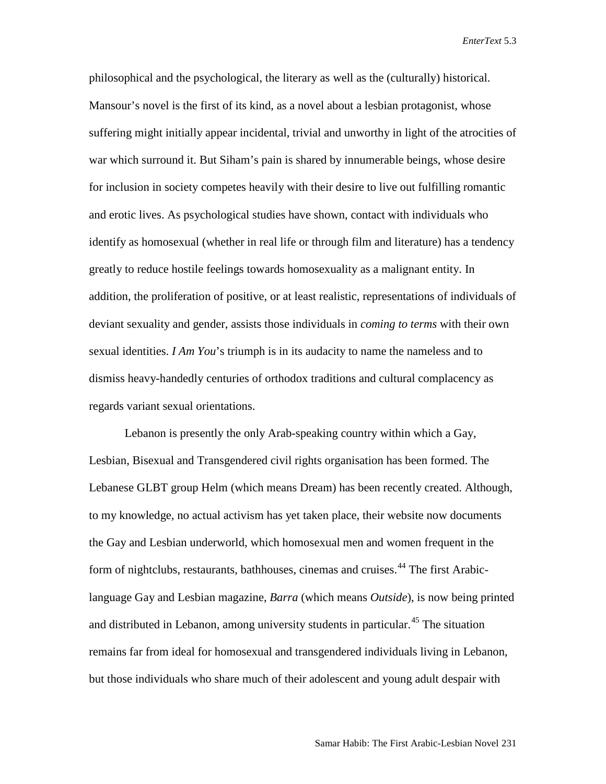philosophical and the psychological, the literary as well as the (culturally) historical. Mansour's novel is the first of its kind, as a novel about a lesbian protagonist, whose suffering might initially appear incidental, trivial and unworthy in light of the atrocities of war which surround it. But Siham's pain is shared by innumerable beings, whose desire for inclusion in society competes heavily with their desire to live out fulfilling romantic and erotic lives. As psychological studies have shown, contact with individuals who identify as homosexual (whether in real life or through film and literature) has a tendency greatly to reduce hostile feelings towards homosexuality as a malignant entity. In addition, the proliferation of positive, or at least realistic, representations of individuals of deviant sexuality and gender, assists those individuals in *coming to terms* with their own sexual identities. *I Am You*'s triumph is in its audacity to name the nameless and to dismiss heavy-handedly centuries of orthodox traditions and cultural complacency as regards variant sexual orientations.

Lebanon is presently the only Arab-speaking country within which a Gay, Lesbian, Bisexual and Transgendered civil rights organisation has been formed. The Lebanese GLBT group Helm (which means Dream) has been recently created. Although, to my knowledge, no actual activism has yet taken place, their website now documents the Gay and Lesbian underworld, which homosexual men and women frequent in the form of nightclubs, restaurants, bathhouses, cinemas and cruises.<sup>[44](#page-34-7)</sup> The first Arabiclanguage Gay and Lesbian magazine, *Barra* (which means *Outside*), is now being printed and distributed in Lebanon, among university students in particular.<sup>[45](#page-34-28)</sup> The situation remains far from ideal for homosexual and transgendered individuals living in Lebanon, but those individuals who share much of their adolescent and young adult despair with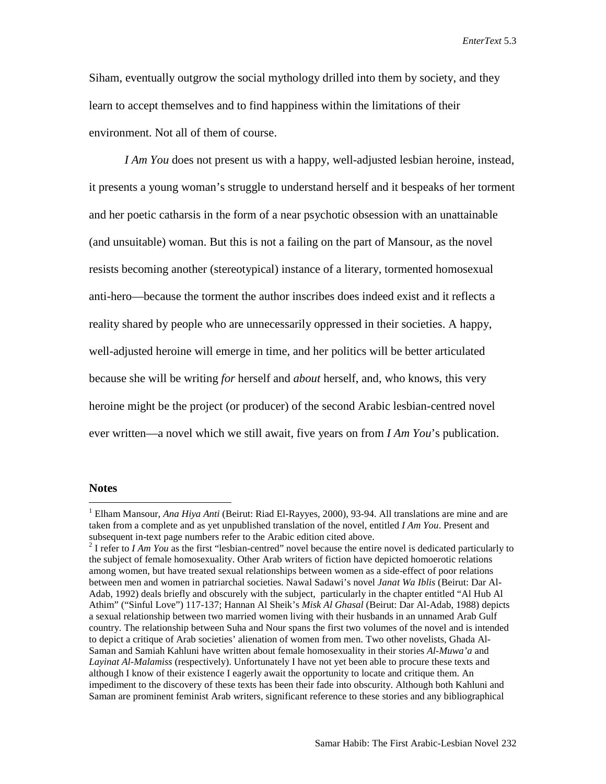Siham, eventually outgrow the social mythology drilled into them by society, and they learn to accept themselves and to find happiness within the limitations of their environment. Not all of them of course.

*I Am You* does not present us with a happy, well-adjusted lesbian heroine, instead, it presents a young woman's struggle to understand herself and it bespeaks of her torment and her poetic catharsis in the form of a near psychotic obsession with an unattainable (and unsuitable) woman. But this is not a failing on the part of Mansour, as the novel resists becoming another (stereotypical) instance of a literary, tormented homosexual anti-hero—because the torment the author inscribes does indeed exist and it reflects a reality shared by people who are unnecessarily oppressed in their societies. A happy, well-adjusted heroine will emerge in time, and her politics will be better articulated because she will be writing *for* herself and *about* herself, and, who knows, this very heroine might be the project (or producer) of the second Arabic lesbian-centred novel ever written—a novel which we still await, five years on from *I Am You*'s publication.

#### **Notes**

<sup>&</sup>lt;sup>1</sup> Elham Mansour, *Ana Hiya Anti* (Beirut: Riad El-Rayyes, 2000), 93-94. All translations are mine and are taken from a complete and as yet unpublished translation of the novel, entitled *I Am You*. Present and

 $3 \text{ I}$  refer to *I Am You* as the first "lesbian-centred" novel because the entire novel is dedicated particularly to the subject of female homosexuality. Other Arab writers of fiction have depicted homoerotic relations among women, but have treated sexual relationships between women as a side-effect of poor relations between men and women in patriarchal societies. Nawal Sadawi's novel *Janat Wa Iblis* (Beirut: Dar Al-Adab, 1992) deals briefly and obscurely with the subject, particularly in the chapter entitled "Al Hub Al Athim" ("Sinful Love") 117-137; Hannan Al Sheik's *Misk Al Ghasal* (Beirut: Dar Al-Adab, 1988) depicts a sexual relationship between two married women living with their husbands in an unnamed Arab Gulf country. The relationship between Suha and Nour spans the first two volumes of the novel and is intended to depict a critique of Arab societies' alienation of women from men. Two other novelists, Ghada Al-Saman and Samiah Kahluni have written about female homosexuality in their stories *Al-Muwa'a* and *Layinat Al-Malamiss* (respectively). Unfortunately I have not yet been able to procure these texts and although I know of their existence I eagerly await the opportunity to locate and critique them. An impediment to the discovery of these texts has been their fade into obscurity. Although both Kahluni and Saman are prominent feminist Arab writers, significant reference to these stories and any bibliographical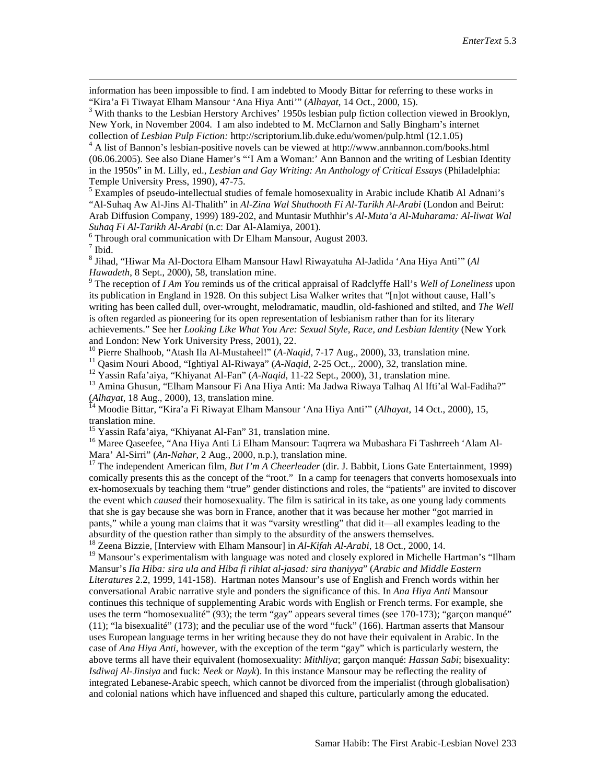information has been impossible to find. I am indebted to Moody Bittar for referring to these works in "Kira'a Fi Tiwayat Elham Mansour 'Ana Hiya Anti'" (*Alhayat*, 14 Oct., 2000, 15). 3 With thanks to the Lesbian Herstory Archives' 1950s lesbian pulp fiction collection viewed in Brooklyn,

<sup>4</sup> A list of Bannon's lesbian-positive novels can be viewed at http://www.annbannon.com/books.html (06.06.2005). See also Diane Hamer's "'I Am a Woman:' Ann Bannon and the writing of Lesbian Identity in the 1950s" in M. Lilly, ed., *Lesbian and Gay Writing: An Anthology of Critical Essays* (Philadelphia: Temple University Press, 1990), 47-75.<br><sup>5</sup> Examples of pseudo-intellectual studies of female homosexuality in Arabic include Khatib Al Adnani's

"Al-Suhaq Aw Al-Jins Al-Thalith" in *Al-Zina Wal Shuthooth Fi Al-Tarikh Al-Arabi* (London and Beirut: Arab Diffusion Company, 1999) 189-202, and Muntasir Muthhir's *Al-Muta'a Al-Muharama: Al-liwat Wal* 

 $\overline{a}$ 

Suhaq Fi Al-Tarikh Al-Arabi (n.c: Dar Al-Alamiya, 2001).<br>
<sup>6</sup> Through oral communication with Dr Elham Mansour, August 2003.<br>
<sup>7</sup> Ibid.<br>
<sup>8</sup> Jihad, "Hiwar Ma Al-Doctora Elham Mansour Hawl Riwayatuha Al-Jadida 'Ana Hiya Ant

<sup>9</sup> The reception of *I Am You* reminds us of the critical appraisal of Radclyffe Hall's *Well of Loneliness* upon its publication in England in 1928. On this subject Lisa Walker writes that "[n]ot without cause, Hall's writing has been called dull, over-wrought, melodramatic, maudlin, old-fashioned and stilted, and *The Well* is often regarded as pioneering for its open representation of lesbianism rather than for its literary achievements." See her *Looking Like What You Are: Sexual Style, Race, and Lesbian Identity* (New York

and London: New York University Press, 2001), 22.<br><sup>10</sup> Pierre Shalhoob, "Atash Ila Al-Mustaheel!" (*A-Naqid*, 7-17 Aug., 2000), 33, translation mine.<br><sup>11</sup> Qasim Nouri Abood, "Ightiyal Al-Riwaya" (*A-Naqid*, 2-25 Oct.,. 200

<sup>14</sup> Moodie Bittar, "Kira'a Fi Riwayat Elham Mansour 'Ana Hiya Anti'" (*Alhayat*, 14 Oct., 2000), 15, translation mine.<br><sup>15</sup> Yassin Rafa'aiya, "Khiyanat Al-Fan" 31, translation mine.

<sup>16</sup> Maree Qaseefee, "Ana Hiya Anti Li Elham Mansour: Taqrrera wa Mubashara Fi Tashrreeh 'Alam Al-Mara' Al-Sirri" (*An-Nahar*, 2 Aug., 2000, n.p.), translation mine.

<sup>17</sup> The independent American film, *But I'm A Cheerleader* (dir. J. Babbit, Lions Gate Entertainment, 1999) comically presents this as the concept of the "root." In a camp for teenagers that converts homosexuals into ex-homosexuals by teaching them "true" gender distinctions and roles, the "patients" are invited to discover the event which *caused* their homosexuality. The film is satirical in its take, as one young lady comments that she is gay because she was born in France, another that it was because her mother "got married in pants," while a young man claims that it was "varsity wrestling" that did it—all examples leading to the absurdity of the question rather than simply to the absurdity of the answers themselves.

<span id="page-32-1"></span><span id="page-32-0"></span><sup>18</sup> Zeena Bizzie, [Interview with Elham Mansour] in *Al-Kifah Al-Arabi*, 18 Oct., 2000, 14.

<sup>19</sup> Mansour's experimentalism with language was noted and closely explored in Michelle Hartman's "Ilham Mansur's *Ila Hiba: sira ula and Hiba fi rihlat al-jasad: sira thaniyya*" (*Arabic and Middle Eastern Literatures* 2.2, 1999, 141-158). Hartman notes Mansour's use of English and French words within her conversational Arabic narrative style and ponders the significance of this. In *Ana Hiya Anti* Mansour continues this technique of supplementing Arabic words with English or French terms. For example, she uses the term "homosexualité" (93); the term "gay" appears several times (see 170-173); "garçon manqué" (11); "la bisexualité" (173); and the peculiar use of the word "fuck" (166). Hartman asserts that Mansour uses European language terms in her writing because they do not have their equivalent in Arabic. In the case of *Ana Hiya Anti,* however, with the exception of the term "gay" which is particularly western, the above terms all have their equivalent (homosexuality: *Mithliya*; garçon manqué: *Hassan Sabi*; bisexuality: *Isdiwaj Al-Jinsiya* and fuck: *Neek* or *Nayk*). In this instance Mansour may be reflecting the reality of integrated Lebanese-Arabic speech, which cannot be divorced from the imperialist (through globalisation) and colonial nations which have influenced and shaped this culture, particularly among the educated.

New York, in November 2004. I am also indebted to [M. McClarnon](mailto:maureen@soc.duke.edu) and Sally Bingham's internet collection of *Lesbian Pulp Fiction*: http://scriptorium.lib.duke.edu/women/pulp.html (12.1.05)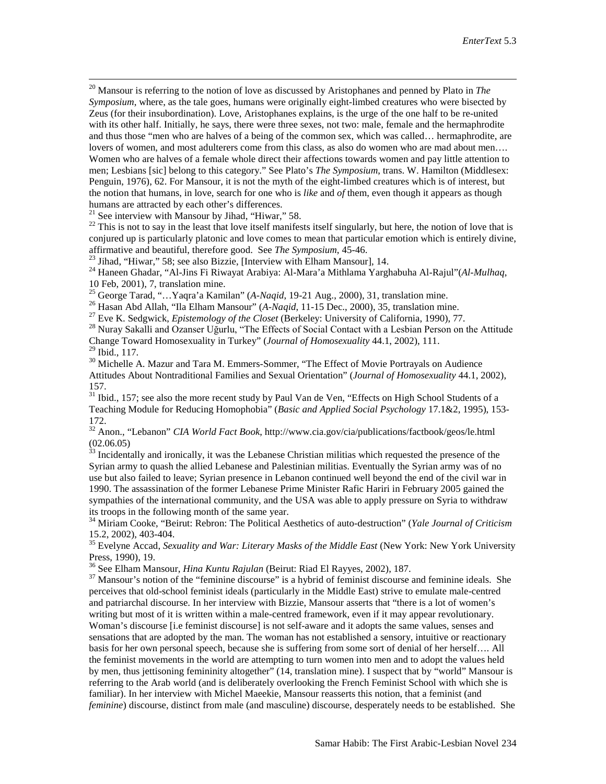<span id="page-33-1"></span><span id="page-33-0"></span> 20 Mansour is referring to the notion of love as discussed by Aristophanes and penned by Plato in *The Symposium*, where, as the tale goes, humans were originally eight-limbed creatures who were bisected by Zeus (for their insubordination). Love, Aristophanes explains, is the urge of the one half to be re-united with its other half. Initially, he says, there were three sexes, not two: male, female and the hermaphrodite and thus those "men who are halves of a being of the common sex, which was called… hermaphrodite, are lovers of women, and most adulterers come from this class, as also do women who are mad about men.... Women who are halves of a female whole direct their affections towards women and pay little attention to men; Lesbians [sic] belong to this category." See Plato's *The Symposium*, trans. W. Hamilton (Middlesex: Penguin, 1976), 62. For Mansour, it is not the myth of the eight-limbed creatures which is of interest, but the notion that humans, in love, search for one who is *like* and *of* them, even though it appears as though humans are attracted by each other's differences.<br><sup>21</sup> See interview with Mansour by Jihad, "Hiwar," 58.

<span id="page-33-2"></span>

<span id="page-33-3"></span> $^{22}$  This is not to say in the least that love itself manifests itself singularly, but here, the notion of love that is conjured up is particularly platonic and love comes to mean that particular emotion which is entirely divine, affirmative and beautiful, therefore good. See *The Symposium*, 45-46.

<sup>23</sup> Jihad, "Hiwar," 58; see also Bizzie, [Interview with Elham Mansour], 14.<br><sup>24</sup> Haneen Ghadar, "Al-Jins Fi Riwayat Arabiya: Al-Mara'a Mithlama Yarghabuha Al-Rajul"(Al-Mulhaq, 10 Feb, 2001), 7, translation mine.

<sup>25</sup> George Tarad, "... Yaqra'a Kamilan" (A-Naqid, 19-21 Aug., 2000), 31, translation mine.<br><sup>26</sup> Hasan Abd Allah, "Ila Elham Mansour" (A-Naqid, 11-15 Dec., 2000), 35, translation mine.<br><sup>27</sup> Eve K. Sedgwick, *Epistemology* Change Toward Homosexuality in Turkey" (*Journal of Homosexuality* 44.1, 2002), 111.

<sup>30</sup> Michelle A. Mazur and Tara M. Emmers-Sommer, "The Effect of Movie Portrayals on Audience Attitudes About Nontraditional Families and Sexual Orientation" (*Journal of Homosexuality* 44.1, 2002), 157.

<sup>31</sup> Ibid., 157: see also the more recent study by Paul Van de Ven, "Effects on High School Students of a Teaching Module for Reducing Homophobia" (*Basic and Applied Social Psychology* 17.1&2, 1995), 153-

172. <sup>32</sup> Anon., "Lebanon" *CIA World Fact Book*[, http://www.cia.gov/cia/publications/factbook/geos/le.html](http://www.cia.gov/cia/publications/factbook/geos/le.html)

 $\frac{33}{33}$  Incidentally and ironically, it was the Lebanese Christian militias which requested the presence of the Syrian army to quash the allied Lebanese and Palestinian militias. Eventually the Syrian army was of no use but also failed to leave; Syrian presence in Lebanon continued well beyond the end of the civil war in 1990. The assassination of the former Lebanese Prime Minister Rafic Hariri in February 2005 gained the sympathies of the international community, and the USA was able to apply pressure on Syria to withdraw its troops in the following month of the same year.

<sup>34</sup> Miriam Cooke, "Beirut: Rebron: The Political Aesthetics of auto-destruction" (*Yale Journal of Criticism* 15.2, 2002), 403-404.

<sup>35</sup> Evelyne Accad, *Sexuality and War: Literary Masks of the Middle East* (New York: New York University Press, 1990), 19.<br><sup>36</sup> See Elham Mansour, *Hina Kuntu Rajulan* (Beirut: Riad El Rayyes, 2002), 187.

<sup>37</sup> Mansour's notion of the "feminine discourse" is a hybrid of feminist discourse and feminine ideals. She perceives that old-school feminist ideals (particularly in the Middle East) strive to emulate male-centred and patriarchal discourse. In her interview with Bizzie, Mansour asserts that "there is a lot of women's writing but most of it is written within a male-centred framework, even if it may appear revolutionary. Woman's discourse [i.e feminist discourse] is not self-aware and it adopts the same values, senses and sensations that are adopted by the man. The woman has not established a sensory, intuitive or reactionary basis for her own personal speech, because she is suffering from some sort of denial of her herself…. All the feminist movements in the world are attempting to turn women into men and to adopt the values held by men, thus jettisoning femininity altogether" (14, translation mine). I suspect that by "world" Mansour is referring to the Arab world (and is deliberately overlooking the French Feminist School with which she is familiar). In her interview with Michel Maeekie, Mansour reasserts this notion, that a feminist (and *feminine*) discourse, distinct from male (and masculine) discourse, desperately needs to be established. She